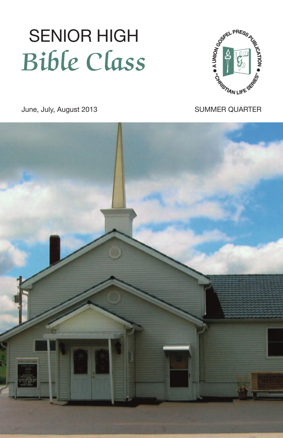# June, July, August 2013 SENIOR HIGH Bible Class



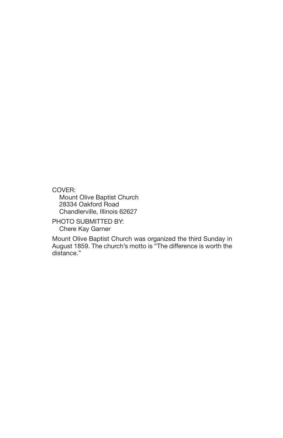COVER:

Mount Olive Baptist Church 28334 Oakford Road Chandlerville, Illinois 62627

PHOTO SUBMITTED BY: Chere Kay Garner

Mount Olive Baptist Church was organized the third Sunday in August 1859. The church's motto is "The difference is worth the distance."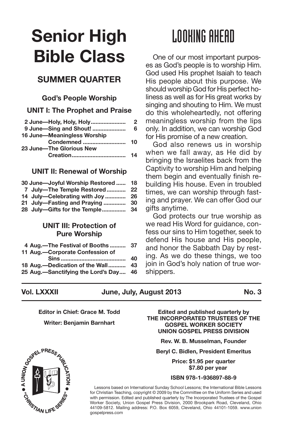## **Senior High Bible Class**

#### **SUMMER QUARTER**

#### **God's People Worship**

**UNIT I: The Prophet and Praise**

| 2 June-Holy, Holy, Holy     | 2  |
|-----------------------------|----|
| 9 June-Sing and Shout!      | 6  |
| 16 June-Meaningless Worship |    |
| Condemned                   | 10 |
| 23 June-The Glorious New    |    |
| <b>Creation</b>             | 14 |

#### **UNIT II: Renewal of Worship**

| 30 June-Joyful Worship Restored | 18   |
|---------------------------------|------|
| 7 July-The Temple Restored      | - 22 |
| 14 July-Celebrating with Joy    | 26   |
| 21 July-Fasting and Praying     | 30   |
| 28 July-Gifts for the Temple    | -34  |

#### **UNIT III: Protection of Pure Worship**

| 4 Aug.-The Festival of Booths 37      |    |
|---------------------------------------|----|
| 11 Aug.-Corporate Confession of       |    |
|                                       | 40 |
| 18 Aug.-Dedication of the Wall 43     |    |
| 25 Aug.—Sanctifying the Lord's Day 46 |    |
|                                       |    |

## LOOKING AHEAD

One of our most important purposes as God's people is to worship Him. God used His prophet Isaiah to teach His people about this purpose. We should worship God for His perfect holiness as well as for His great works by singing and shouting to Him. We must do this wholeheartedly, not offering meaningless worship from the lips only. In addition, we can worship God for His promise of a new creation.

God also renews us in worship when we fall away, as He did by bringing the Israelites back from the Captivity to worship Him and helping them begin and eventually finish rebuilding His house. Even in troubled times, we can worship through fasting and prayer. We can offer God our gifts anytime.

God protects our true worship as we read His Word for guidance, confess our sins to Him together, seek to defend His house and His people, and honor the Sabbath Day by resting. As we do these things, we too join in God's holy nation of true worshippers.

#### **Vol. LXXXII June, July, August 2013 No. 3**

**Editor in Chief: Grace M. Todd**

**Writer: Benjamin Barnhart**

**Edited and published quarterly by THE INCORPORATED TRUSTEES OF THE GOSPEL WORKER SOCIETY UNION GOSPEL PRESS DIVISION**

**Rev. W. B. Musselman, Founder**

**Beryl C. Bidlen, President Emeritus**

**Price: \$1.95 per quarter \$7.80 per year**

#### **ISBN 978-1-936897-88-9**

Lessons based on International Sunday School Lessons; the International Bible Lessons for Christian Teaching, copyright © 2009 by the Committee on the Uniform Series and used with permission. Edited and published quarterly by The Incorporated Trustees of the Gospel Worker Society, Union Gospel Press Division, 2000 Brookpark Road, Cleveland, Ohio 44109-5812. Mailing address: P.O. Box 6059, Cleveland, Ohio 44101-1059. www.union gospelpress.com

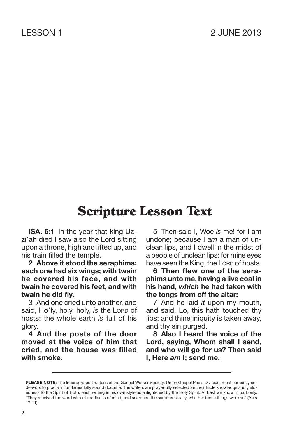**ISA. 6:1** In the year that king Uzzi'ah died I saw also the Lord sitting upon a throne, high and lifted up, and his train filled the temple.

**2 Above it stood the seraphims: each one had six wings; with twain he covered his face, and with twain he covered his feet, and with twain he did fly.**

3 And one cried unto another, and said, Ho'ly, holy, holy, *is* the LORD of hosts: the whole earth *is* full of his glory.

**4 And the posts of the door moved at the voice of him that cried, and the house was filled with smoke.**

5 Then said I, Woe *is* me! for I am undone; because I *am* a man of unclean lips, and I dwell in the midst of a people of unclean lips: for mine eyes have seen the King, the LORD of hosts.

**6 Then flew one of the seraphims unto me, having a live coal in his hand,** *which* **he had taken with the tongs from off the altar:**

7 And he laid *it* upon my mouth, and said, Lo, this hath touched thy lips; and thine iniquity is taken away, and thy sin purged.

**8 Also I heard the voice of the Lord, saying, Whom shall I send, and who will go for us? Then said I, Here** *am* **I; send me.**

**PLEASE NOTE:** The Incorporated Trustees of the Gospel Worker Society, Union Gospel Press Division, most earnestly endeavors to proclaim fundamentally sound doctrine. The writers are prayerfully selected for their Bible knowledge and yieldedness to the Spirit of Truth, each writing in his own style as enlightened by the Holy Spirit. At best we know in part only. "They received the word with all readiness of mind, and searched the scriptures daily, whether those things were so" (Acts 17:11).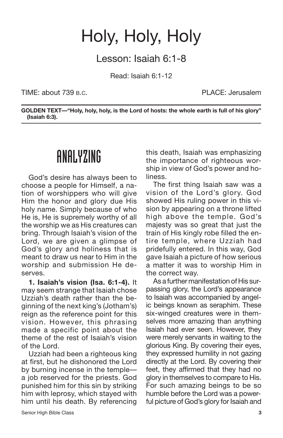## Holy, Holy, Holy

Lesson: Isaiah 6:1-8

Read: Isaiah 6:1-12

TIME: about 739 B.C. PLACE: Jerusalem

**GOLDEN TEXT—"Holy, holy, holy, is the Lord of hosts: the whole earth is full of his glory" (Isaiah 6:3).**

#### ANALYZING

God's desire has always been to choose a people for Himself, a nation of worshippers who will give Him the honor and glory due His holy name. Simply because of who He is, He is supremely worthy of all the worship we as His creatures can bring. Through Isaiah's vision of the Lord, we are given a glimpse of God's glory and holiness that is meant to draw us near to Him in the worship and submission He deserves.

**1. Isaiah's vision (Isa. 6:1-4).** It may seem strange that Isaiah chose Uzziah's death rather than the beginning of the next king's (Jotham's) reign as the reference point for this vision. However, this phrasing made a specific point about the theme of the rest of Isaiah's vision of the Lord.

Uzziah had been a righteous king at first, but he dishonored the Lord by burning incense in the temple a job reserved for the priests. God punished him for this sin by striking him with leprosy, which stayed with him until his death. By referencing this death, Isaiah was emphasizing the importance of righteous worship in view of God's power and holiness.

The first thing Isaiah saw was a vision of the Lord's glory. God showed His ruling power in this vision by appearing on a throne lifted high above the temple. God's majesty was so great that just the train of His kingly robe filled the entire temple, where Uzziah had pridefully entered. In this way, God gave Isaiah a picture of how serious a matter it was to worship Him in the correct way.

As a further manifestation of His surpassing glory, the Lord's appearance to Isaiah was accompanied by angelic beings known as seraphim. These six-winged creatures were in themselves more amazing than anything Isaiah had ever seen. However, they were merely servants in waiting to the glorious King. By covering their eyes, they expressed humility in not gazing directly at the Lord. By covering their feet, they affirmed that they had no glory in themselves to compare to His. For such amazing beings to be so humble before the Lord was a powerful picture of God's glory for Isaiah and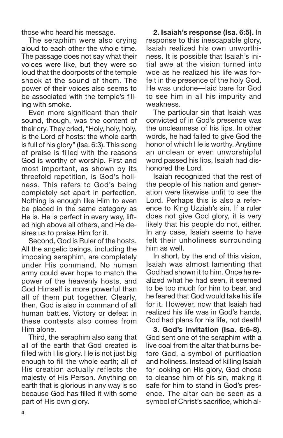those who heard his message.

The seraphim were also crying aloud to each other the whole time. The passage does not say what their voices were like, but they were so loud that the doorposts of the temple shook at the sound of them. The power of their voices also seems to be associated with the temple's filling with smoke.

Even more significant than their sound, though, was the content of their cry. They cried, "Holy, holy, holy, is the Lord of hosts: the whole earth is full of his glory" (Isa. 6:3). This song of praise is filled with the reasons God is worthy of worship. First and most important, as shown by its threefold repetition, is God's holiness. This refers to God's being completely set apart in perfection. Nothing is enough like Him to even be placed in the same category as He is. He is perfect in every way, lifted high above all others, and He desires us to praise Him for it.

Second, God is Ruler of the hosts. All the angelic beings, including the imposing seraphim, are completely under His command. No human army could ever hope to match the power of the heavenly hosts, and God Himself is more powerful than all of them put together. Clearly, then, God is also in command of all human battles. Victory or defeat in these contests also comes from Him alone.

Third, the seraphim also sang that all of the earth that God created is filled with His glory. He is not just big enough to fill the whole earth; all of His creation actually reflects the majesty of His Person. Anything on earth that is glorious in any way is so because God has filled it with some part of His own glory.

**2. Isaiah's response (Isa. 6:5).** In response to this inescapable glory, Isaiah realized his own unworthiness. It is possible that Isaiah's initial awe at the vision turned into woe as he realized his life was forfeit in the presence of the holy God. He was undone—laid bare for God to see him in all his impurity and weakness.

The particular sin that Isaiah was convicted of in God's presence was the uncleanness of his lips. In other words, he had failed to give God the honor of which He is worthy. Anytime an unclean or even unworshipful word passed his lips, Isaiah had dishonored the Lord.

Isaiah recognized that the rest of the people of his nation and generation were likewise unfit to see the Lord. Perhaps this is also a reference to King Uzziah's sin. If a ruler does not give God glory, it is very likely that his people do not, either. In any case, Isaiah seems to have felt their unholiness surrounding him as well.

In short, by the end of this vision, Isaiah was almost lamenting that God had shown it to him. Once he realized what he had seen, it seemed to be too much for him to bear, and he feared that God would take his life for it. However, now that Isaiah had realized his life was in God's hands, God had plans for his life, not death!

**3. God's invitation (Isa. 6:6-8).** God sent one of the seraphim with a live coal from the altar that burns before God, a symbol of purification and holiness. Instead of killing Isaiah for looking on His glory, God chose to cleanse him of his sin, making it safe for him to stand in God's presence. The altar can be seen as a symbol of Christ's sacrifice, which al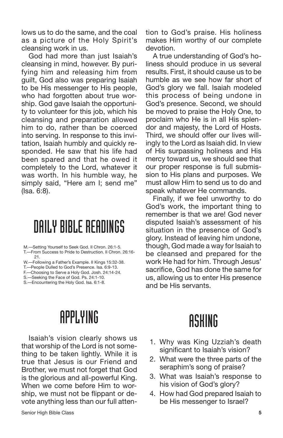lows us to do the same, and the coal as a picture of the Holy Spirit's cleansing work in us.

God had more than just Isaiah's cleansing in mind, however. By purifying him and releasing him from guilt, God also was preparing Isaiah to be His messenger to His people, who had forgotten about true worship. God gave Isaiah the opportunity to volunteer for this job, which his cleansing and preparation allowed him to do, rather than be coerced into serving. In response to this invitation, Isaiah humbly and quickly responded. He saw that his life had been spared and that he owed it completely to the Lord, whatever it was worth. In his humble way, he simply said, "Here am I; send me" (Isa. 6:8).

### DAILY BIBLE READINGS

M.—Setting Yourself to Seek God. II Chron. 26:1-5.

- T.—From Success to Pride to Destruction. II Chron. 26:16- 21.
- W.—Following a Father's Example. II Kings 15:32-38.
- T.—People Dulled to God's Presence. Isa. 6:9-13.
- F.—Choosing to Serve a Holy God. Josh. 24:14-24.
- S.—Seeking the Face of God. Ps. 24:1-10.
- S. Encountering the Holy God. Isa. 6:1-8.

#### tion to God's praise. His holiness makes Him worthy of our complete devotion.

A true understanding of God's holiness should produce in us several results. First, it should cause us to be humble as we see how far short of God's glory we fall. Isaiah modeled this process of being undone in God's presence. Second, we should be moved to praise the Holy One, to proclaim who He is in all His splendor and majesty, the Lord of Hosts. Third, we should offer our lives willingly to the Lord as Isaiah did. In view of His surpassing holiness and His mercy toward us, we should see that our proper response is full submission to His plans and purposes. We must allow Him to send us to do and speak whatever He commands.

Finally, if we feel unworthy to do God's work, the important thing to remember is that we are! God never disputed Isaiah's assessment of his situation in the presence of God's glory. Instead of leaving him undone, though, God made a way for Isaiah to be cleansed and prepared for the work He had for him. Through Jesus' sacrifice, God has done the same for us, allowing us to enter His presence and be His servants.

## APPLYING

Isaiah's vision clearly shows us that worship of the Lord is not something to be taken lightly. While it is true that Jesus is our Friend and Brother, we must not forget that God is the glorious and all-powerful King. When we come before Him to worship, we must not be flippant or devote anything less than our full atten-

- 1. Why was King Uzziah's death significant to Isaiah's vision?
- 2. What were the three parts of the seraphim's song of praise?
- 3. What was Isaiah's response to his vision of God's glory?
- 4. How had God prepared Isaiah to be His messenger to Israel?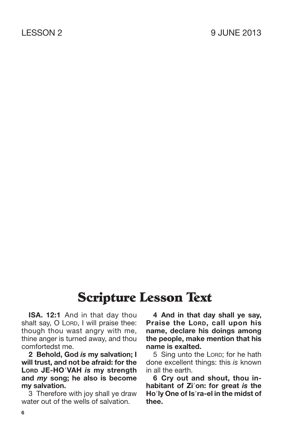**ISA. 12:1** And in that day thou shalt say, O LORD, I will praise thee: though thou wast angry with me, thine anger is turned away, and thou comfortedst me.

**2 Behold, God** *is* **my salvation; I will trust, and not be afraid: for the LORD JE-HOVAH** *is* **my strength and** *my* **song; he also is become my salvation.**

3 Therefore with joy shall ye draw water out of the wells of salvation.

**4 And in that day shall ye say, Praise the LORD, call upon his name, declare his doings among the people, make mention that his name is exalted.**

5 Sing unto the LORD; for he hath done excellent things: this *is* known in all the earth.

**6 Cry out and shout, thou inhabitant of Zion: for great** *is* **the Holy One of Isra-el in the midst of thee.**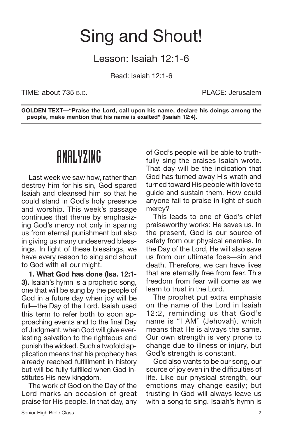## Sing and Shout!

Lesson: Isaiah 12:1-6

Read: Isaiah 12:1-6

TIME: about 735 B.C. PLACE: Jerusalem

**GOLDEN TEXT—"Praise the Lord, call upon his name, declare his doings among the people, make mention that his name is exalted" (Isaiah 12:4).**

#### ANALYZING

Last week we saw how, rather than destroy him for his sin, God spared Isaiah and cleansed him so that he could stand in God's holy presence and worship. This week's passage continues that theme by emphasizing God's mercy not only in sparing us from eternal punishment but also in giving us many undeserved blessings. In light of these blessings, we have every reason to sing and shout to God with all our might.

**1. What God has done (Isa. 12:1- 3).** Isaiah's hymn is a prophetic song, one that will be sung by the people of God in a future day when joy will be full—the Day of the Lord. Isaiah used this term to refer both to soon approaching events and to the final Day of Judgment, when God will give everlasting salvation to the righteous and punish the wicked. Such a twofold application means that his prophecy has already reached fulfillment in history but will be fully fulfilled when God institutes His new kingdom.

The work of God on the Day of the Lord marks an occasion of great praise for His people. In that day, any of God's people will be able to truthfully sing the praises Isaiah wrote. That day will be the indication that God has turned away His wrath and turned toward His people with love to guide and sustain them. How could anyone fail to praise in light of such mercy?

This leads to one of God's chief praiseworthy works: He saves us. In the present, God is our source of safety from our physical enemies. In the Day of the Lord, He will also save us from our ultimate foes—sin and death. Therefore, we can have lives that are eternally free from fear. This freedom from fear will come as we learn to trust in the Lord.

The prophet put extra emphasis on the name of the Lord in Isaiah 12:2, reminding us that God's name is "I AM" (Jehovah), which means that He is always the same. Our own strength is very prone to change due to illness or injury, but God's strength is constant.

God also wants to be our song, our source of joy even in the difficulties of life. Like our physical strength, our emotions may change easily; but trusting in God will always leave us with a song to sing. Isaiah's hymn is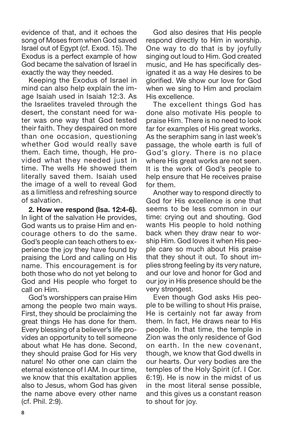evidence of that, and it echoes the song of Moses from when God saved Israel out of Egypt (cf. Exod. 15). The Exodus is a perfect example of how God became the salvation of Israel in exactly the way they needed.

Keeping the Exodus of Israel in mind can also help explain the image Isaiah used in Isaiah 12:3. As the Israelites traveled through the desert, the constant need for water was one way that God tested their faith. They despaired on more than one occasion, questioning whether God would really save them. Each time, though, He provided what they needed just in time. The wells He showed them literally saved them. Isaiah used the image of a well to reveal God as a limitless and refreshing source of salvation.

**2. How we respond (Isa. 12:4-6).** In light of the salvation He provides, God wants us to praise Him and encourage others to do the same. God's people can teach others to experience the joy they have found by praising the Lord and calling on His name. This encouragement is for both those who do not yet belong to God and His people who forget to call on Him.

God's worshippers can praise Him among the people two main ways. First, they should be proclaiming the great things He has done for them. Every blessing of a believer's life provides an opportunity to tell someone about what He has done. Second, they should praise God for His very nature! No other one can claim the eternal existence of I AM. In our time, we know that this exaltation applies also to Jesus, whom God has given the name above every other name (cf. Phil. 2:9).

God also desires that His people respond directly to Him in worship. One way to do that is by joyfully singing out loud to Him. God created music, and He has specifically designated it as a way He desires to be glorified. We show our love for God when we sing to Him and proclaim His excellence.

The excellent things God has done also motivate His people to praise Him. There is no need to look far for examples of His great works. As the seraphim sang in last week's passage, the whole earth is full of God's glory. There is no place where His great works are not seen. It is the work of God's people to help ensure that He receives praise for them.

Another way to respond directly to God for His excellence is one that seems to be less common in our time: crying out and shouting. God wants His people to hold nothing back when they draw near to worship Him. God loves it when His people care so much about His praise that they shout it out. To shout implies strong feeling by its very nature, and our love and honor for God and our joy in His presence should be the very strongest.

Even though God asks His people to be willing to shout His praise, He is certainly not far away from them. In fact, He draws near to His people. In that time, the temple in Zion was the only residence of God on earth. In the new covenant, though, we know that God dwells in our hearts. Our very bodies are the temples of the Holy Spirit (cf. I Cor. 6:19). He is now in the midst of us in the most literal sense possible, and this gives us a constant reason to shout for joy.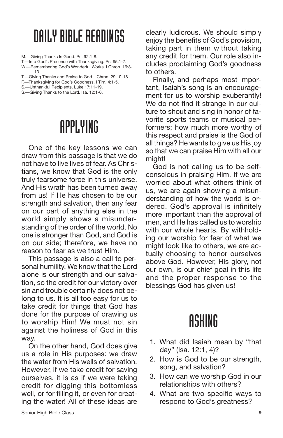#### DAILYBIBLEREADINGS

M.—Giving Thanks Is Good. Ps. 92:1-8.

T.—Into God's Presence with Thanksgiving. Ps. 95:1-7. W.—Remembering God's Wonderful Works. I Chron. 16:8- 13.

T.—Giving Thanks and Praise to God. I Chron. 29:10-18.

F.—Thanksgiving for God's Goodness. I Tim. 4:1-5.

S.—Unthankful Recipients. Luke 17:11-19.

S.—Giving Thanks to the Lord. Isa. 12:1-6.

### APPLYING

One of the key lessons we can draw from this passage is that we do not have to live lives of fear. As Christians, we know that God is the only truly fearsome force in this universe. And His wrath has been turned away from us! If He has chosen to be our strength and salvation, then any fear on our part of anything else in the world simply shows a misunderstanding of the order of the world. No one is stronger than God, and God is on our side; therefore, we have no reason to fear as we trust Him.

This passage is also a call to personal humility. We know that the Lord alone is our strength and our salvation, so the credit for our victory over sin and trouble certainly does not belong to us. It is all too easy for us to take credit for things that God has done for the purpose of drawing us to worship Him! We must not sin against the holiness of God in this way.

On the other hand, God does give us a role in His purposes: we draw the water from His wells of salvation. However, if we take credit for saving ourselves, it is as if we were taking credit for digging this bottomless well, or for filling it, or even for creating the water! All of these ideas are clearly ludicrous. We should simply enjoy the benefits of God's provision, taking part in them without taking any credit for them. Our role also includes proclaiming God's goodness to others.

Finally, and perhaps most important, Isaiah's song is an encouragement for us to worship exuberantly! We do not find it strange in our culture to shout and sing in honor of favorite sports teams or musical performers; how much more worthy of this respect and praise is the God of all things? He wants to give us His joy so that we can praise Him with all our might!

God is not calling us to be selfconscious in praising Him. If we are worried about what others think of us, we are again showing a misunderstanding of how the world is ordered. God's approval is infinitely more important than the approval of men, and He has called us to worship with our whole hearts. By withholding our worship for fear of what we might look like to others, we are actually choosing to honor ourselves above God. However, His glory, not our own, is our chief goal in this life and the proper response to the blessings God has given us!

- 1. What did Isaiah mean by "that day" (Isa. 12:1, 4)?
- 2. How is God to be our strength, song, and salvation?
- 3. How can we worship God in our relationships with others?
- 4. What are two specific ways to respond to God's greatness?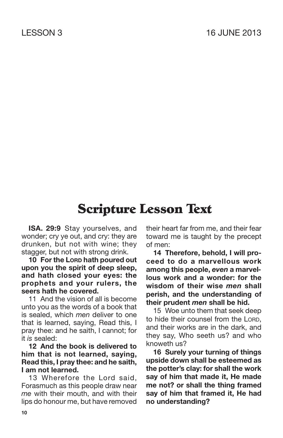**ISA. 29:9** Stay yourselves, and wonder; cry ye out, and cry: they are drunken, but not with wine; they stagger, but not with strong drink.

**10 For the LORD hath poured out upon you the spirit of deep sleep, and hath closed your eyes: the prophets and your rulers, the seers hath he covered.**

11 And the vision of all is become unto you as the words of a book that is sealed, which *men* deliver to one that is learned, saying, Read this, I pray thee: and he saith, I cannot; for it *is* sealed:

**12 And the book is delivered to him that is not learned, saying, Read this, I pray thee: and he saith, I am not learned.**

13 Wherefore the Lord said, Forasmuch as this people draw near *me* with their mouth, and with their lips do honour me, but have removed their heart far from me, and their fear toward me is taught by the precept of men:

**14 Therefore, behold, I will proceed to do a marvellous work among this people,** *even* **a marvellous work and a wonder: for the wisdom of their wise** *men* **shall perish, and the understanding of their prudent** *men* **shall be hid.**

15 Woe unto them that seek deep to hide their counsel from the LORD, and their works are in the dark, and they say, Who seeth us? and who knoweth us?

**16 Surely your turning of things upside down shall be esteemed as the potter's clay: for shall the work say of him that made it, He made me not? or shall the thing framed say of him that framed it, He had no understanding?**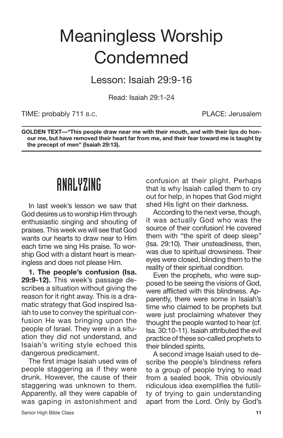## Meaningless Worship **Condemned**

Lesson: Isaiah 29:9-16

Read: Isaiah 29:1-24

TIME: probably 711 B.C. THE PLACE: Jerusalem

**GOLDEN TEXT—"This people draw near me with their mouth, and with their lips do honour me, but have removed their heart far from me, and their fear toward me is taught by the precept of men" (Isaiah 29:13).**

#### ANALYZING

In last week's lesson we saw that God desires us to worship Him through enthusiastic singing and shouting of praises. This week we will see that God wants our hearts to draw near to Him each time we sing His praise. To worship God with a distant heart is meaningless and does not please Him.

**1. The people's confusion (Isa. 29:9-12).** This week's passage describes a situation without giving the reason for it right away. This is a dramatic strategy that God inspired Isaiah to use to convey the spiritual confusion He was bringing upon the people of Israel. They were in a situation they did not understand, and Isaiah's writing style echoed this dangerous predicament.

The first image Isaiah used was of people staggering as if they were drunk. However, the cause of their staggering was unknown to them. Apparently, all they were capable of was gaping in astonishment and confusion at their plight. Perhaps that is why Isaiah called them to cry out for help, in hopes that God might shed His light on their darkness.

According to the next verse, though, it was actually God who was the source of their confusion! He covered them with "the spirit of deep sleep" (Isa. 29:10). Their unsteadiness, then, was due to spiritual drowsiness. Their eyes were closed, blinding them to the reality of their spiritual condition.

Even the prophets, who were supposed to be seeing the visions of God, were afflicted with this blindness. Apparently, there were some in Isaiah's time who claimed to be prophets but were just proclaiming whatever they thought the people wanted to hear (cf. Isa. 30:10-11). Isaiah attributed the evil practice of these so-called prophets to their blinded spirits.

A second image Isaiah used to describe the people's blindness refers to a group of people trying to read from a sealed book. This obviously ridiculous idea exemplifies the futility of trying to gain understanding apart from the Lord. Only by God's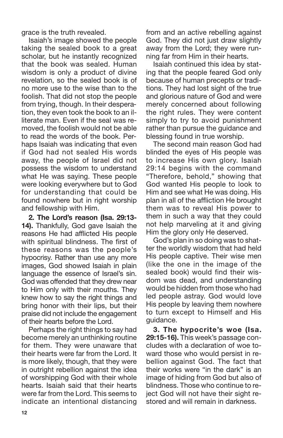grace is the truth revealed.

Isaiah's image showed the people taking the sealed book to a great scholar, but he instantly recognized that the book was sealed. Human wisdom is only a product of divine revelation, so the sealed book is of no more use to the wise than to the foolish. That did not stop the people from trying, though. In their desperation, they even took the book to an illiterate man. Even if the seal was removed, the foolish would not be able to read the words of the book. Perhaps Isaiah was indicating that even if God had not sealed His words away, the people of Israel did not possess the wisdom to understand what He was saying. These people were looking everywhere but to God for understanding that could be found nowhere but in right worship and fellowship with Him.

**2. The Lord's reason (Isa. 29:13- 14).** Thankfully, God gave Isaiah the reasons He had afflicted His people with spiritual blindness. The first of these reasons was the people's hypocrisy. Rather than use any more images, God showed Isaiah in plain language the essence of Israel's sin. God was offended that they drew near to Him only with their mouths. They knew how to say the right things and bring honor with their lips, but their praise did not include the engagement of their hearts before the Lord.

Perhaps the right things to say had become merely an unthinking routine for them. They were unaware that their hearts were far from the Lord. It is more likely, though, that they were in outright rebellion against the idea of worshipping God with their whole hearts. Isaiah said that their hearts were far from the Lord. This seems to indicate an intentional distancing from and an active rebelling against God. They did not just draw slightly away from the Lord; they were running far from Him in their hearts.

Isaiah continued this idea by stating that the people feared God only because of human precepts or traditions. They had lost sight of the true and glorious nature of God and were merely concerned about following the right rules. They were content simply to try to avoid punishment rather than pursue the guidance and blessing found in true worship.

The second main reason God had blinded the eyes of His people was to increase His own glory. Isaiah 29:14 begins with the command "Therefore, behold," showing that God wanted His people to look to Him and see what He was doing. His plan in all of the affliction He brought them was to reveal His power to them in such a way that they could not help marveling at it and giving Him the glory only He deserved.

God's plan in so doing was to shatter the worldly wisdom that had held His people captive. Their wise men (like the one in the image of the sealed book) would find their wisdom was dead, and understanding would be hidden from those who had led people astray. God would love His people by leaving them nowhere to turn except to Himself and His guidance.

**3. The hypocrite's woe (Isa. 29:15-16).** This week's passage concludes with a declaration of woe toward those who would persist in rebellion against God. The fact that their works were "in the dark" is an image of hiding from God but also of blindness. Those who continue to reject God will not have their sight restored and will remain in darkness.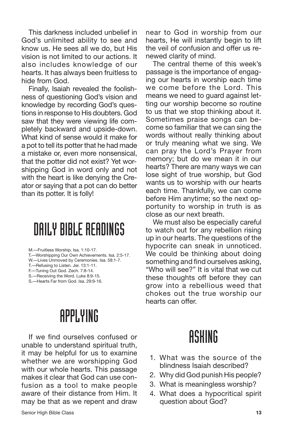This darkness included unbelief in God's unlimited ability to see and know us. He sees all we do, but His vision is not limited to our actions. It also includes knowledge of our hearts. It has always been fruitless to hide from God.

Finally, Isaiah revealed the foolishness of questioning God's vision and knowledge by recording God's questions in response to His doubters. God saw that they were viewing life completely backward and upside-down. What kind of sense would it make for a pot to tell its potter that he had made a mistake or, even more nonsensical, that the potter did not exist? Yet worshipping God in word only and not with the heart is like denying the Creator or saying that a pot can do better than its potter. It is folly!

#### DAILY BIBLE READINGS

M.—Fruitless Worship. Isa. 1:10-17.

T.—Worshipping Our Own Achievements. Isa. 2:5-17.

W.—Lives Unmoved by Ceremonies. Isa. 58:1-7.

T.—Refusing to Listen. Jer. 13:1-11. F.—Tuning Out God. Zech. 7:8-14.

S.—Receiving the Word. Luke 8:9-15.

S.—Hearts Far from God. Isa. 29:9-16.

### APPLYING

If we find ourselves confused or unable to understand spiritual truth, it may be helpful for us to examine whether we are worshipping God with our whole hearts. This passage makes it clear that God can use confusion as a tool to make people aware of their distance from Him. It may be that as we repent and draw near to God in worship from our hearts, He will instantly begin to lift the veil of confusion and offer us renewed clarity of mind.

The central theme of this week's passage is the importance of engaging our hearts in worship each time we come before the Lord. This means we need to guard against letting our worship become so routine to us that we stop thinking about it. Sometimes praise songs can become so familiar that we can sing the words without really thinking about or truly meaning what we sing. We can pray the Lord's Prayer from memory; but do we mean it in our hearts? There are many ways we can lose sight of true worship, but God wants us to worship with our hearts each time. Thankfully, we can come before Him anytime; so the next opportunity to worship in truth is as close as our next breath.

We must also be especially careful to watch out for any rebellion rising up in our hearts. The questions of the hypocrite can sneak in unnoticed. We could be thinking about doing something and find ourselves asking, "Who will see?" It is vital that we cut these thoughts off before they can grow into a rebellious weed that chokes out the true worship our hearts can offer.

- 1. What was the source of the blindness Isaiah described?
- 2. Why did God punish His people?
- 3. What is meaningless worship?
- 4. What does a hypocritical spirit question about God?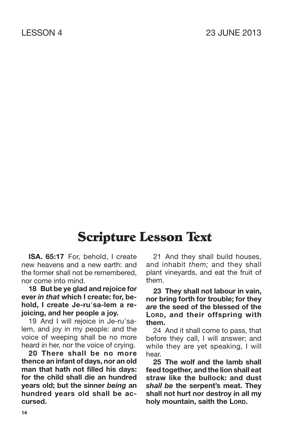**ISA. 65:17** For, behold, I create new heavens and a new earth: and the former shall not be remembered, nor come into mind.

**18 But be ye glad and rejoice for ever** *in that* **which I create: for, behold, I create Je-rusa-lem a rejoicing, and her people a joy.**

19 And I will rejoice in Je-ru'salem, and joy in my people: and the voice of weeping shall be no more heard in her, nor the voice of crying.

**20 There shall be no more thence an infant of days, nor an old man that hath not filled his days: for the child shall die an hundred years old; but the sinner** *being* **an hundred years old shall be accursed.**

21 And they shall build houses, and inhabit *them;* and they shall plant vineyards, and eat the fruit of them.

**23 They shall not labour in vain, nor bring forth for trouble; for they** *are* **the seed of the blessed of the LORD, and their offspring with them.**

24 And it shall come to pass, that before they call, I will answer; and while they are yet speaking, I will hear.

**25 The wolf and the lamb shall feed together, and the lion shall eat straw like the bullock: and dust** *shall be* **the serpent's meat. They shall not hurt nor destroy in all my holy mountain, saith the LORD.**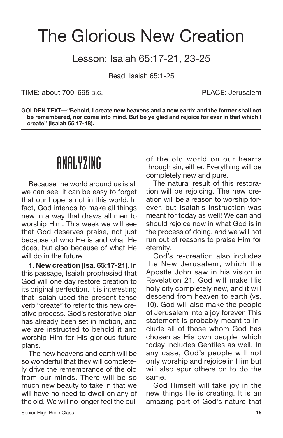### The Glorious New Creation

#### Lesson: Isaiah 65:17-21, 23-25

Read: Isaiah 65:1-25

TIME: about 700–695 B.C. PLACE: Jerusalem

**GOLDEN TEXT—"Behold, I create new heavens and a new earth: and the former shall not be remembered, nor come into mind. But be ye glad and rejoice for ever in that which I create" (Isaiah 65:17-18).**

#### ANALYZING

Because the world around us is all we can see, it can be easy to forget that our hope is not in this world. In fact, God intends to make all things new in a way that draws all men to worship Him. This week we will see that God deserves praise, not just because of who He is and what He does, but also because of what He will do in the future.

**1. New creation (Isa. 65:17-21).** In this passage, Isaiah prophesied that God will one day restore creation to its original perfection. It is interesting that Isaiah used the present tense verb "create" to refer to this new creative process. God's restorative plan has already been set in motion, and we are instructed to behold it and worship Him for His glorious future plans.

The new heavens and earth will be so wonderful that they will completely drive the remembrance of the old from our minds. There will be so much new beauty to take in that we will have no need to dwell on any of the old. We will no longer feel the pull of the old world on our hearts through sin, either. Everything will be completely new and pure.

The natural result of this restoration will be rejoicing. The new creation will be a reason to worship forever, but Isaiah's instruction was meant for today as well! We can and should rejoice now in what God is in the process of doing, and we will not run out of reasons to praise Him for eternity.

God's re-creation also includes the New Jerusalem, which the Apostle John saw in his vision in Revelation 21. God will make His holy city completely new, and it will descend from heaven to earth (vs. 10). God will also make the people of Jerusalem into a joy forever. This statement is probably meant to include all of those whom God has chosen as His own people, which today includes Gentiles as well. In any case, God's people will not only worship and rejoice in Him but will also spur others on to do the same.

God Himself will take joy in the new things He is creating. It is an amazing part of God's nature that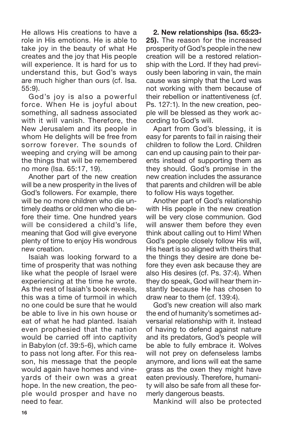He allows His creations to have a role in His emotions. He is able to take joy in the beauty of what He creates and the joy that His people will experience. It is hard for us to understand this, but God's ways are much higher than ours (cf. Isa. 55:9).

God's joy is also a powerful force. When He is joyful about something, all sadness associated with it will vanish. Therefore, the New Jerusalem and its people in whom He delights will be free from sorrow forever. The sounds of weeping and crying will be among the things that will be remembered no more (Isa. 65:17, 19).

Another part of the new creation will be a new prosperity in the lives of God's followers. For example, there will be no more children who die untimely deaths or old men who die before their time. One hundred years will be considered a child's life, meaning that God will give everyone plenty of time to enjoy His wondrous new creation.

Isaiah was looking forward to a time of prosperity that was nothing like what the people of Israel were experiencing at the time he wrote. As the rest of Isaiah's book reveals, this was a time of turmoil in which no one could be sure that he would be able to live in his own house or eat of what he had planted. Isaiah even prophesied that the nation would be carried off into captivity in Babylon (cf. 39:5-6), which came to pass not long after. For this reason, his message that the people would again have homes and vineyards of their own was a great hope. In the new creation, the people would prosper and have no need to fear.

**2. New relationships (Isa. 65:23- 25).** The reason for the increased prosperity of God's people in the new creation will be a restored relationship with the Lord. If they had previously been laboring in vain, the main cause was simply that the Lord was not working with them because of their rebellion or inattentiveness (cf. Ps. 127:1). In the new creation, people will be blessed as they work according to God's will.

Apart from God's blessing, it is easy for parents to fail in raising their children to follow the Lord. Children can end up causing pain to their parents instead of supporting them as they should. God's promise in the new creation includes the assurance that parents and children will be able to follow His ways together.

Another part of God's relationship with His people in the new creation will be very close communion. God will answer them before they even think about calling out to Him! When God's people closely follow His will, His heart is so aligned with theirs that the things they desire are done before they even ask because they are also His desires (cf. Ps. 37:4). When they do speak, God will hear them instantly because He has chosen to draw near to them (cf. 139:4).

God's new creation will also mark the end of humanity's sometimes adversarial relationship with it. Instead of having to defend against nature and its predators, God's people will be able to fully embrace it. Wolves will not prey on defenseless lambs anymore, and lions will eat the same grass as the oxen they might have eaten previously. Therefore, humanity will also be safe from all these formerly dangerous beasts.

Mankind will also be protected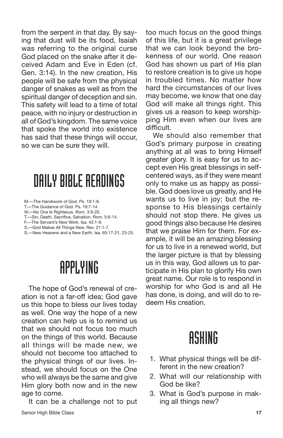from the serpent in that day. By saying that dust will be its food, Isaiah was referring to the original curse God placed on the snake after it deceived Adam and Eve in Eden (cf. Gen. 3:14). In the new creation, His people will be safe from the physical danger of snakes as well as from the spiritual danger of deception and sin. This safety will lead to a time of total peace, with no injury or destruction in all of God's kingdom. The same voice that spoke the world into existence has said that these things will occur, so we can be sure they will.

## DAILYBIBLEREADINGS

M.—The Handiwork of God. Ps. 19:1-6.

- T.—The Guidance of God. Ps. 19:7-14.
- W.—No One Is Righteous. Rom. 3:9-20.
- T.—Sin, Death, Sacrifice, Salvation. Rom. 5:6-14.
- F.—The Servant's New Work. Isa. 42:1-9.
- S.—God Makes All Things New. Rev. 21:1-7.
- S.—New Heavens and a New Earth. Isa. 65:17-21, 23-25.

#### APPLYING

The hope of God's renewal of creation is not a far-off idea; God gave us this hope to bless our lives today as well. One way the hope of a new creation can help us is to remind us that we should not focus too much on the things of this world. Because all things will be made new, we should not become too attached to the physical things of our lives. Instead, we should focus on the One who will always be the same and give Him glory both now and in the new age to come.

It can be a challenge not to put Senior High Bible Class **17**

too much focus on the good things of this life, but it is a great privilege that we can look beyond the brokenness of our world. One reason God has shown us part of His plan to restore creation is to give us hope in troubled times. No matter how hard the circumstances of our lives may become, we know that one day God will make all things right. This gives us a reason to keep worshipping Him even when our lives are difficult.

We should also remember that God's primary purpose in creating anything at all was to bring Himself greater glory. It is easy for us to accept even His great blessings in selfcentered ways, as if they were meant only to make us as happy as possible. God does love us greatly, and He wants us to live in joy; but the response to His blessings certainly should not stop there. He gives us good things also because He desires that we praise Him for them. For example, it will be an amazing blessing for us to live in a renewed world, but the larger picture is that by blessing us in this way, God allows us to participate in His plan to glorify His own great name. Our role is to respond in worship for who God is and all He has done, is doing, and will do to redeem His creation.

- 1. What physical things will be different in the new creation?
- 2. What will our relationship with God be like?
- 3. What is God's purpose in making all things new?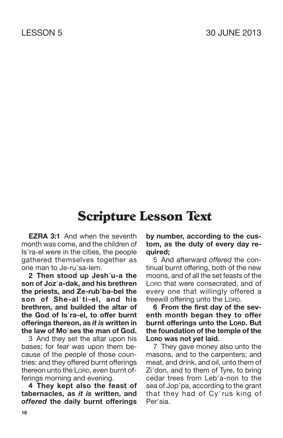**EZRA 3:1** And when the seventh month was come, and the children of Is'ra-el were in the cities, the people gathered themselves together as one man to Je-ru'sa-lem.

**2 Then stood up Jeshu-a the son of Joza-dak, and his brethren the priests, and Ze-rub**<sup>'</sup>ba-bel the **son of She-alti-el, and his brethren, and builded the altar of the God of Isra-el, to offer burnt offerings thereon, as** *it is* **written in the law of Moses the man of God.**

3 And they set the altar upon his bases; for fear *was* upon them because of the people of those countries: and they offered burnt offerings thereon unto the LORD, *even* burnt offerings morning and evening.

**4 They kept also the feast of tabernacles, as** *it is* **written, and** *offered* **the daily burnt offerings** **by number, according to the custom, as the duty of every day required;**

5 And afterward *offered* the continual burnt offering, both of the new moons, and of all the set feasts of the LORD that were consecrated, and of every one that willingly offered a freewill offering unto the LORD.

**6 From the first day of the seventh month began they to offer burnt offerings unto the LORD. But the foundation of the temple of the LORD was not** *yet* **laid.**

7 They gave money also unto the masons, and to the carpenters; and meat, and drink, and oil, unto them of Zi'don, and to them of Tyre, to bring cedar trees from Leb'a-non to the sea of Jop'pa, according to the grant that they had of Cy'rus king of Per'sia.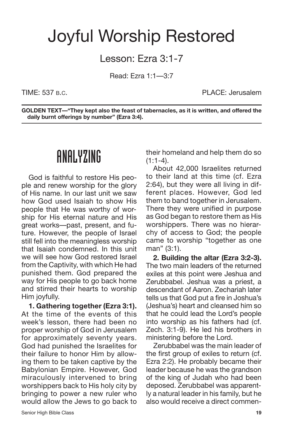### Joyful Worship Restored

#### Lesson: Ezra 3:1-7

Read: Ezra 1:1—3:7

TIME: 537 B.C. **PLACE: Jerusalem** 

**GOLDEN TEXT—"They kept also the feast of tabernacles, as it is written, and offered the daily burnt offerings by number" (Ezra 3:4).**

#### ANALYZING

God is faithful to restore His people and renew worship for the glory of His name. In our last unit we saw how God used Isaiah to show His people that He was worthy of worship for His eternal nature and His great works—past, present, and future. However, the people of Israel still fell into the meaningless worship that Isaiah condemned. In this unit we will see how God restored Israel from the Captivity, with which He had punished them. God prepared the way for His people to go back home and stirred their hearts to worship Him joyfully.

**1. Gathering together (Ezra 3:1).** At the time of the events of this week's lesson, there had been no proper worship of God in Jerusalem for approximately seventy years. God had punished the Israelites for their failure to honor Him by allowing them to be taken captive by the Babylonian Empire. However, God miraculously intervened to bring worshippers back to His holy city by bringing to power a new ruler who would allow the Jews to go back to their homeland and help them do so  $(1:1-4)$ .

About 42,000 Israelites returned to their land at this time (cf. Ezra 2:64), but they were all living in different places. However, God led them to band together in Jerusalem. There they were unified in purpose as God began to restore them as His worshippers. There was no hierarchy of access to God; the people came to worship "together as one man" (3:1).

**2. Building the altar (Ezra 3:2-3).** The two main leaders of the returned exiles at this point were Jeshua and Zerubbabel. Jeshua was a priest, a descendant of Aaron. Zechariah later tells us that God put a fire in Joshua's (Jeshua's) heart and cleansed him so that he could lead the Lord's people into worship as his fathers had (cf. Zech. 3:1-9). He led his brothers in ministering before the Lord.

Zerubbabel was the main leader of the first group of exiles to return (cf. Ezra 2:2). He probably became their leader because he was the grandson of the king of Judah who had been deposed. Zerubbabel was apparently a natural leader in his family, but he also would receive a direct commen-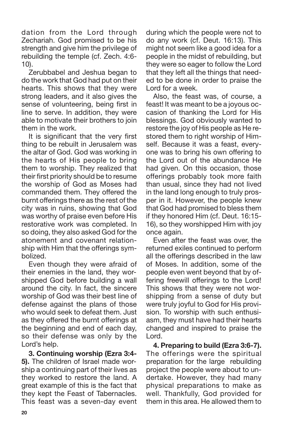dation from the Lord through Zechariah. God promised to be his strength and give him the privilege of rebuilding the temple (cf. Zech. 4:6- 10).

Zerubbabel and Jeshua began to do the work that God had put on their hearts. This shows that they were strong leaders, and it also gives the sense of volunteering, being first in line to serve. In addition, they were able to motivate their brothers to join them in the work.

It is significant that the very first thing to be rebuilt in Jerusalem was the altar of God. God was working in the hearts of His people to bring them to worship. They realized that their first priority should be to resume the worship of God as Moses had commanded them. They offered the burnt offerings there as the rest of the city was in ruins, showing that God was worthy of praise even before His restorative work was completed. In so doing, they also asked God for the atonement and covenant relationship with Him that the offerings symbolized.

Even though they were afraid of their enemies in the land, they worshipped God before building a wall around the city. In fact, the sincere worship of God was their best line of defense against the plans of those who would seek to defeat them. Just as they offered the burnt offerings at the beginning and end of each day, so their defense was only by the Lord's help.

**3. Continuing worship (Ezra 3:4- 5).** The children of Israel made worship a continuing part of their lives as they worked to restore the land. A great example of this is the fact that they kept the Feast of Tabernacles. This feast was a seven-day event during which the people were not to do any work (cf. Deut. 16:13). This might not seem like a good idea for a people in the midst of rebuilding, but they were so eager to follow the Lord that they left all the things that needed to be done in order to praise the Lord for a week.

Also, the feast was, of course, a feast! It was meant to be a joyous occasion of thanking the Lord for His blessings. God obviously wanted to restore the joy of His people as He restored them to right worship of Himself. Because it was a feast, everyone was to bring his own offering to the Lord out of the abundance He had given. On this occasion, those offerings probably took more faith than usual, since they had not lived in the land long enough to truly prosper in it. However, the people knew that God had promised to bless them if they honored Him (cf. Deut. 16:15- 16), so they worshipped Him with joy once again.

Even after the feast was over, the returned exiles continued to perform all the offerings described in the law of Moses. In addition, some of the people even went beyond that by offering freewill offerings to the Lord! This shows that they were not worshipping from a sense of duty but were truly joyful to God for His provision. To worship with such enthusiasm, they must have had their hearts changed and inspired to praise the Lord.

**4. Preparing to build (Ezra 3:6-7).** The offerings were the spiritual preparation for the large rebuilding project the people were about to undertake. However, they had many physical preparations to make as well. Thankfully, God provided for them in this area. He allowed them to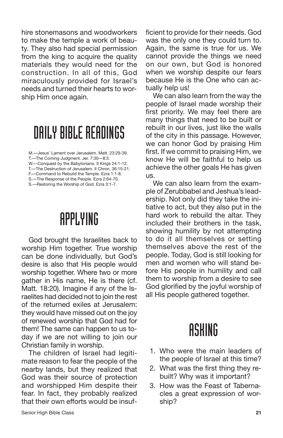hire stonemasons and woodworkers to make the temple a work of beauty. They also had special permission from the king to acquire the quality materials they would need for the construction. In all of this, God miraculously provided for Israel's needs and turned their hearts to worship Him once again.

#### DAILY BIBLE READINGS

M.—Jesus' Lament over Jerusalem. Matt. 23:29-39.

- W.—Conquest by the Babylonians. II Kings 24:1-12. T.—The Destruction of Jerusalem. II Chron. 36:15-21.
- F.—Command to Rebuild the Temple. Ezra 1:1-8.

S.—The Response of the People. Ezra 2:64-70.

S.—Restoring the Worship of God. Ezra 3:1-7.

## APPLYING

God brought the Israelites back to worship Him together. True worship can be done individually, but God's desire is also that His people would worship together. Where two or more gather in His name, He is there (cf. Matt. 18:20). Imagine if any of the Israelites had decided not to join the rest of the returned exiles at Jerusalem: they would have missed out on the joy of renewed worship that God had for them! The same can happen to us today if we are not willing to join our Christian family in worship.

The children of Israel had legitimate reason to fear the people of the nearby lands, but they realized that God was their source of protection and worshipped Him despite their fear. In fact, they probably realized that their own efforts would be insufficient to provide for their needs. God was the only one they could turn to. Again, the same is true for us. We cannot provide the things we need on our own, but God is honored when we worship despite our fears because He is the One who can actually help us!

We can also learn from the way the people of Israel made worship their first priority. We may feel there are many things that need to be built or rebuilt in our lives, just like the walls of the city in this passage. However, we can honor God by praising Him first. If we commit to praising Him, we know He will be faithful to help us achieve the other goals He has given us.

We can also learn from the example of Zerubbabel and Jeshua's leadership. Not only did they take the initiative to act, but they also put in the hard work to rebuild the altar. They included their brothers in the task, showing humility by not attempting to do it all themselves or setting themselves above the rest of the people. Today, God is still looking for men and women who will stand before His people in humility and call them to worship from a desire to see God glorified by the joyful worship of all His people gathered together.

- 1. Who were the main leaders of the people of Israel at this time?
- 2. What was the first thing they rebuilt? Why was it important?
- 3. How was the Feast of Tabernacles a great expression of worship?

T.—The Coming Judgment. Jer. 7:30—8:3.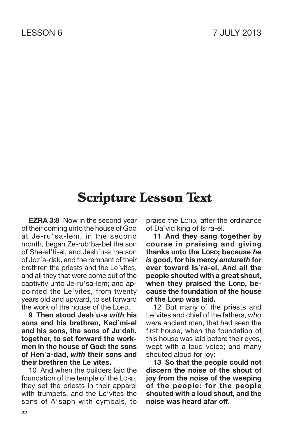**EZRA 3:8** Now in the second year of their coming unto the house of God at Je-ru'sa-lem, in the second month, began Ze-rub'ba-bel the son of She-al'ti-el, and Jesh'u-a the son of Joz'a-dak, and the remnant of their brethren the priests and the Le'vites, and all they that were come out of the captivity unto Je-ru'sa-lem; and appointed the Le'vites, from twenty years old and upward, to set forward the work of the house of the LORD.

**9 Then stood Jeshu-a** *with* **his sons and his brethren, Kadmi-el and his sons, the sons of Judah, together, to set forward the workmen in the house of God: the sons of Hena-dad,** *with* **their sons and their brethren the Levites.**

10 And when the builders laid the foundation of the temple of the LORD, they set the priests in their apparel with trumpets, and the Le'vites the sons of A'saph with cymbals, to praise the LORD, after the ordinance of Da'vid king of Is'ra-el.

**11 And they sang together by course in praising and giving thanks unto the LORD; because** *he is* **good, for his mercy** *endureth* **for ever toward Isra-el. And all the people shouted with a great shout, when they praised the LORD, because the foundation of the house of the LORD was laid.**

12 But many of the priests and Le'vites and chief of the fathers, who *were* ancient men, that had seen the first house, when the foundation of this house was laid before their eyes, wept with a loud voice; and many shouted aloud for joy:

**13 So that the people could not discern the noise of the shout of joy from the noise of the weeping of the people: for the people shouted with a loud shout, and the noise was heard afar off.**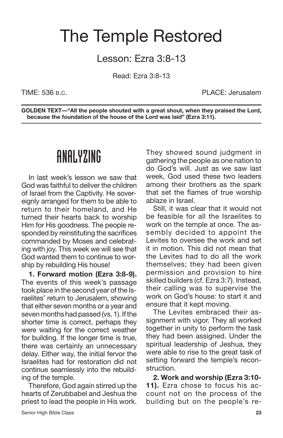### The Temple Restored

#### Lesson: Ezra 3:8-13

Read: Ezra 3:8-13

TIME: 536 B.C. PLACE: Jerusalem

**GOLDEN TEXT—"All the people shouted with a great shout, when they praised the Lord, because the foundation of the house of the Lord was laid" (Ezra 3:11).**

### ANALYZING

In last week's lesson we saw that God was faithful to deliver the children of Israel from the Captivity. He sovereignly arranged for them to be able to return to their homeland, and He turned their hearts back to worship Him for His goodness. The people responded by reinstituting the sacrifices commanded by Moses and celebrating with joy. This week we will see that God wanted them to continue to worship by rebuilding His house!

**1. Forward motion (Ezra 3:8-9).** The events of this week's passage took place in the second year of the Israelites' return to Jerusalem, showing that either seven months or a year and seven months had passed (vs. 1). If the shorter time is correct, perhaps they were waiting for the correct weather for building. If the longer time is true, there was certainly an unnecessary delay. Either way, the initial fervor the Israelites had for restoration did not continue seamlessly into the rebuilding of the temple.

Therefore, God again stirred up the hearts of Zerubbabel and Jeshua the priest to lead the people in His work. They showed sound judgment in gathering the people as one nation to do God's will. Just as we saw last week, God used these two leaders among their brothers as the spark that set the flames of true worship ablaze in Israel.

Still, it was clear that it would not be feasible for all the Israelites to work on the temple at once. The assembly decided to appoint the Levites to oversee the work and set it in motion. This did not mean that the Levites had to do all the work themselves; they had been given permission and provision to hire skilled builders (cf. Ezra 3:7). Instead, their calling was to supervise the work on God's house: to start it and ensure that it kept moving.

The Levites embraced their assignment with vigor. They all worked together in unity to perform the task they had been assigned. Under the spiritual leadership of Jeshua, they were able to rise to the great task of setting forward the temple's reconstruction.

**2. Work and worship (Ezra 3:10- 11).** Ezra chose to focus his account not on the process of the building but on the people's re-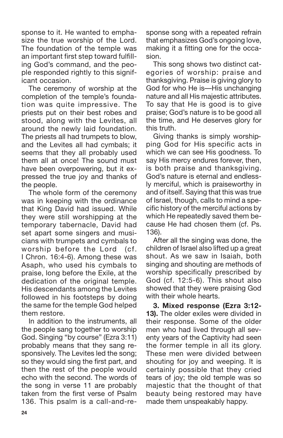sponse to it. He wanted to emphasize the true worship of the Lord. The foundation of the temple was an important first step toward fulfilling God's command, and the people responded rightly to this significant occasion.

The ceremony of worship at the completion of the temple's foundation was quite impressive. The priests put on their best robes and stood, along with the Levites, all around the newly laid foundation. The priests all had trumpets to blow, and the Levites all had cymbals; it seems that they all probably used them all at once! The sound must have been overpowering, but it expressed the true joy and thanks of the people.

The whole form of the ceremony was in keeping with the ordinance that King David had issued. While they were still worshipping at the temporary tabernacle, David had set apart some singers and musicians with trumpets and cymbals to worship before the Lord (cf. I Chron. 16:4-6). Among these was Asaph, who used his cymbals to praise, long before the Exile, at the dedication of the original temple. His descendants among the Levites followed in his footsteps by doing the same for the temple God helped them restore.

In addition to the instruments, all the people sang together to worship God. Singing "by course" (Ezra 3:11) probably means that they sang responsively. The Levites led the song; so they would sing the first part, and then the rest of the people would echo with the second. The words of the song in verse 11 are probably taken from the first verse of Psalm 136. This psalm is a call-and-response song with a repeated refrain that emphasizes God's ongoing love, making it a fitting one for the occasion.

This song shows two distinct categories of worship: praise and thanksgiving. Praise is giving glory to God for who He is—His unchanging nature and all His majestic attributes. To say that He is good is to give praise; God's nature is to be good all the time, and He deserves glory for this truth.

Giving thanks is simply worshipping God for His specific acts in which we can see His goodness. To say His mercy endures forever, then, is both praise and thanksgiving. God's nature is eternal and endlessly merciful, which is praiseworthy in and of itself. Saying that this was true of Israel, though, calls to mind a specific history of the merciful actions by which He repeatedly saved them because He had chosen them (cf. Ps. 136).

After all the singing was done, the children of Israel also lifted up a great shout. As we saw in Isaiah, both singing and shouting are methods of worship specifically prescribed by God (cf. 12:5-6). This shout also showed that they were praising God with their whole hearts.

**3. Mixed response (Ezra 3:12- 13).** The older exiles were divided in their response. Some of the older men who had lived through all seventy years of the Captivity had seen the former temple in all its glory. These men were divided between shouting for joy and weeping. It is certainly possible that they cried tears of joy; the old temple was so majestic that the thought of that beauty being restored may have made them unspeakably happy.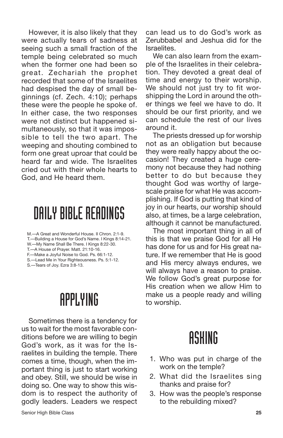However, it is also likely that they were actually tears of sadness at seeing such a small fraction of the temple being celebrated so much when the former one had been so great. Zechariah the prophet recorded that some of the Israelites had despised the day of small beginnings (cf. Zech. 4:10); perhaps these were the people he spoke of. In either case, the two responses were not distinct but happened simultaneously, so that it was impossible to tell the two apart. The weeping and shouting combined to form one great uproar that could be heard far and wide. The Israelites cried out with their whole hearts to God, and He heard them.

#### DAILY BIBLE READINGS

M.—A Great and Wonderful House. II Chron. 2:1-9.

T.—Building a House for God's Name. I Kings 8:14-21.

W.—My Name Shall Be There. I Kings 8:22-30.

T.—A House of Prayer. Matt. 21:10-16.

- F.—Make a Joyful Noise to God. Ps. 66:1-12.
- S.—Lead Me in Your Righteousness. Ps. 5:1-12. S.—Tears of Joy. Ezra 3:8-13.

## APPLYING

Sometimes there is a tendency for us to wait for the most favorable conditions before we are willing to begin God's work, as it was for the Israelites in building the temple. There comes a time, though, when the important thing is just to start working and obey. Still, we should be wise in doing so. One way to show this wisdom is to respect the authority of godly leaders. Leaders we respect can lead us to do God's work as Zerubbabel and Jeshua did for the Israelites.

We can also learn from the example of the Israelites in their celebration. They devoted a great deal of time and energy to their worship. We should not just try to fit worshipping the Lord in around the other things we feel we have to do. It should be our first priority, and we can schedule the rest of our lives around it.

The priests dressed up for worship not as an obligation but because they were really happy about the occasion! They created a huge ceremony not because they had nothing better to do but because they thought God was worthy of largescale praise for what He was accomplishing. If God is putting that kind of joy in our hearts, our worship should also, at times, be a large celebration, although it cannot be manufactured.

The most important thing in all of this is that we praise God for all He has done for us and for His great nature. If we remember that He is good and His mercy always endures, we will always have a reason to praise. We follow God's great purpose for His creation when we allow Him to make us a people ready and willing to worship.

- 1. Who was put in charge of the work on the temple?
- 2. What did the Israelites sing thanks and praise for?
- 3. How was the people's response to the rebuilding mixed?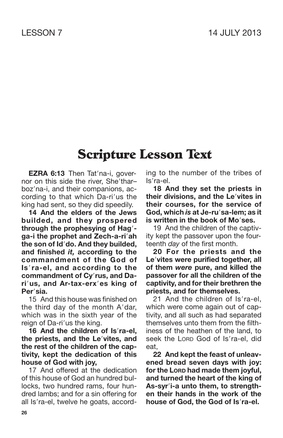**EZRA 6:13** Then Tat'na-i, governor on this side the river. She'tharboz'na-i, and their companions, according to that which Da-ri'us the king had sent, so they did speedily.

**14 And the elders of the Jews builded, and they prospered through the prophesying of Hag ga-i the prophet and Zech-a-riah the son of Iddo. And they builded, and finished** *it,* **according to the commandment of the God of Isra-el, and according to the commandment of Cyrus, and Darius, and Ar-tax-erxes king of Persia.**

15 And this house was finished on the third day of the month  $A'$ dar, which was in the sixth year of the reign of Da-ri'us the king.

**16 And the children of Isra-el, the priests, and the Levites, and the rest of the children of the captivity, kept the dedication of this house of God with joy,**

17 And offered at the dedication of this house of God an hundred bullocks, two hundred rams, four hundred lambs; and for a sin offering for all Is'ra-el, twelve he goats, according to the number of the tribes of Is'ra-el.

**18 And they set the priests in their divisions, and the Levites in their courses, for the service of God, which** *is* **at Je-rusa-lem; as it is written in the book of Moses.**

19 And the children of the captivity kept the passover upon the fourteenth *day* of the first month.

**20 For the priests and the Levites were purified together, all of them** *were* **pure, and killed the passover for all the children of the captivity, and for their brethren the priests, and for themselves.**

21 And the children of Is'ra-el. which were come again out of captivity, and all such as had separated themselves unto them from the filthiness of the heathen of the land, to seek the LORD God of Is'ra-el, did eat,

**22 And kept the feast of unleavened bread seven days with joy: for the LORD had made them joyful, and turned the heart of the king of As-syri-a unto them, to strengthen their hands in the work of the house of God, the God of Isra-el.**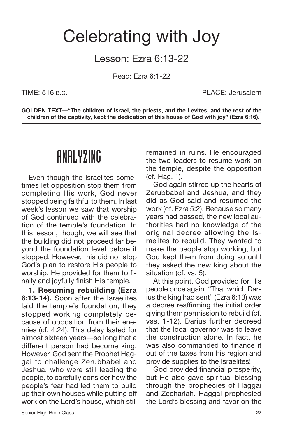#### Celebrating with Joy

Lesson: Ezra 6:13-22

Read: Ezra 6:1-22

TIME: 516 B.C. PLACE: Jerusalem

**GOLDEN TEXT—"The children of Israel, the priests, and the Levites, and the rest of the children of the captivity, kept the dedication of this house of God with joy" (Ezra 6:16).**

### ANALYZING

Even though the Israelites sometimes let opposition stop them from completing His work, God never stopped being faithful to them. In last week's lesson we saw that worship of God continued with the celebration of the temple's foundation. In this lesson, though, we will see that the building did not proceed far beyond the foundation level before it stopped. However, this did not stop God's plan to restore His people to worship. He provided for them to finally and joyfully finish His temple.

**1. Resuming rebuilding (Ezra 6:13-14).** Soon after the Israelites laid the temple's foundation, they stopped working completely because of opposition from their enemies (cf. 4:24). This delay lasted for almost sixteen years—so long that a different person had become king. However, God sent the Prophet Haggai to challenge Zerubbabel and Jeshua, who were still leading the people, to carefully consider how the people's fear had led them to build up their own houses while putting off work on the Lord's house, which still remained in ruins. He encouraged the two leaders to resume work on the temple, despite the opposition (cf. Hag. 1).

God again stirred up the hearts of Zerubbabel and Jeshua, and they did as God said and resumed the work (cf. Ezra 5:2). Because so many years had passed, the new local authorities had no knowledge of the original decree allowing the Israelites to rebuild. They wanted to make the people stop working, but God kept them from doing so until they asked the new king about the situation (cf. vs. 5).

At this point, God provided for His people once again. "That which Darius the king had sent" (Ezra 6:13) was a decree reaffirming the initial order giving them permission to rebuild (cf. vss. 1-12). Darius further decreed that the local governor was to leave the construction alone. In fact, he was also commanded to finance it out of the taxes from his region and provide supplies to the Israelites!

God provided financial prosperity, but He also gave spiritual blessing through the prophecies of Haggai and Zechariah. Haggai prophesied the Lord's blessing and favor on the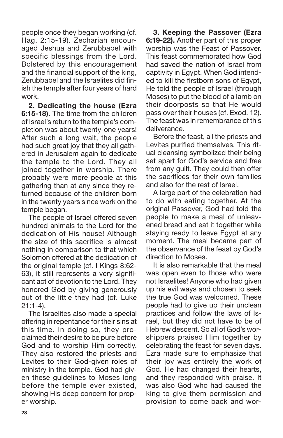people once they began working (cf. Hag. 2:15-19). Zechariah encouraged Jeshua and Zerubbabel with specific blessings from the Lord. Bolstered by this encouragement and the financial support of the king, Zerubbabel and the Israelites did finish the temple after four years of hard work.

**2. Dedicating the house (Ezra 6:15-18).** The time from the children of Israel's return to the temple's completion was about twenty-one years! After such a long wait, the people had such great joy that they all gathered in Jerusalem again to dedicate the temple to the Lord. They all joined together in worship. There probably were more people at this gathering than at any since they returned because of the children born in the twenty years since work on the temple began.

The people of Israel offered seven hundred animals to the Lord for the dedication of His house! Although the size of this sacrifice is almost nothing in comparison to that which Solomon offered at the dedication of the original temple (cf. I Kings 8:62- 63), it still represents a very significant act of devotion to the Lord. They honored God by giving generously out of the little they had (cf. Luke 21:1-4).

The Israelites also made a special offering in repentance for their sins at this time. In doing so, they proclaimed their desire to be pure before God and to worship Him correctly. They also restored the priests and Levites to their God-given roles of ministry in the temple. God had given these guidelines to Moses long before the temple ever existed, showing His deep concern for proper worship.

**3. Keeping the Passover (Ezra 6:19-22).** Another part of this proper worship was the Feast of Passover. This feast commemorated how God had saved the nation of Israel from captivity in Egypt. When God intended to kill the firstborn sons of Egypt, He told the people of Israel (through Moses) to put the blood of a lamb on their doorposts so that He would pass over their houses (cf. Exod. 12). The feast was in remembrance of this deliverance.

Before the feast, all the priests and Levites purified themselves. This ritual cleansing symbolized their being set apart for God's service and free from any guilt. They could then offer the sacrifices for their own families and also for the rest of Israel.

A large part of the celebration had to do with eating together. At the original Passover, God had told the people to make a meal of unleavened bread and eat it together while staying ready to leave Egypt at any moment. The meal became part of the observance of the feast by God's direction to Moses.

It is also remarkable that the meal was open even to those who were not Israelites! Anyone who had given up his evil ways and chosen to seek the true God was welcomed. These people had to give up their unclean practices and follow the laws of Israel, but they did not have to be of Hebrew descent. So all of God's worshippers praised Him together by celebrating the feast for seven days. Ezra made sure to emphasize that their joy was entirely the work of God. He had changed their hearts, and they responded with praise. It was also God who had caused the king to give them permission and provision to come back and wor-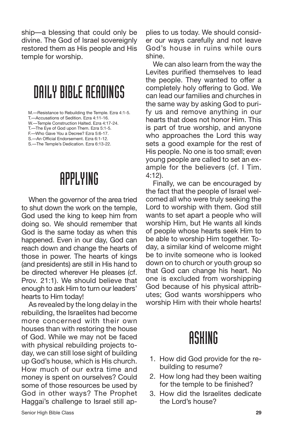ship—a blessing that could only be divine. The God of Israel sovereignly restored them as His people and His temple for worship.

#### DAILY BIBLE READINGS

M.—Resistance to Rebuilding the Temple. Ezra 4:1-5.

T.—Accusations of Sedition. Ezra 4:11-16. W.—Temple Construction Halted. Ezra 4:17-24.

T.—The Eye of God upon Them. Ezra 5:1-5.

F.—Who Gave You a Decree? Ezra 5:6-17.

S.—An Official Endorsement. Ezra 6:1-12.

S.—The Temple's Dedication. Ezra 6:13-22.

### APPLYING

When the governor of the area tried to shut down the work on the temple, God used the king to keep him from doing so. We should remember that God is the same today as when this happened. Even in our day, God can reach down and change the hearts of those in power. The hearts of kings (and presidents) are still in His hand to be directed wherever He pleases (cf. Prov. 21:1). We should believe that enough to ask Him to turn our leaders' hearts to Him today!

As revealed by the long delay in the rebuilding, the Israelites had become more concerned with their own houses than with restoring the house of God. While we may not be faced with physical rebuilding projects today, we can still lose sight of building up God's house, which is His church. How much of our extra time and money is spent on ourselves? Could some of those resources be used by God in other ways? The Prophet Haggai's challenge to Israel still applies to us today. We should consider our ways carefully and not leave God's house in ruins while ours shine.

We can also learn from the way the Levites purified themselves to lead the people. They wanted to offer a completely holy offering to God. We can lead our families and churches in the same way by asking God to purify us and remove anything in our hearts that does not honor Him. This is part of true worship, and anyone who approaches the Lord this way sets a good example for the rest of His people. No one is too small; even young people are called to set an example for the believers (cf. I Tim. 4:12).

Finally, we can be encouraged by the fact that the people of Israel welcomed all who were truly seeking the Lord to worship with them. God still wants to set apart a people who will worship Him, but He wants all kinds of people whose hearts seek Him to be able to worship Him together. Today, a similar kind of welcome might be to invite someone who is looked down on to church or youth group so that God can change his heart. No one is excluded from worshipping God because of his physical attributes; God wants worshippers who worship Him with their whole hearts!

- 1. How did God provide for the rebuilding to resume?
- 2. How long had they been waiting for the temple to be finished?
- 3. How did the Israelites dedicate the Lord's house?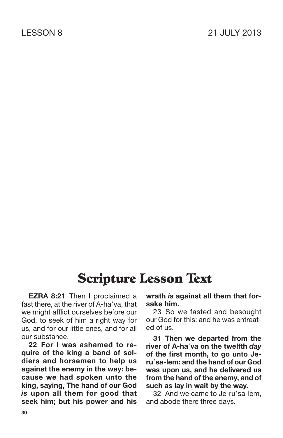**EZRA 8:21** Then I proclaimed a fast there, at the river of A-ha'va, that we might afflict ourselves before our God, to seek of him a right way for us, and for our little ones, and for all our substance.

**22 For I was ashamed to require of the king a band of soldiers and horsemen to help us against the enemy in the way: because we had spoken unto the king, saying, The hand of our God** *is* **upon all them for good that seek him; but his power and his** **wrath** *is* **against all them that forsake him.**

23 So we fasted and besought our God for this: and he was entreated of us.

**31 Then we departed from the river of A-hava on the twelfth** *day* **of the first month, to go unto Jerusa-lem: and the hand of our God was upon us, and he delivered us from the hand of the enemy, and of such as lay in wait by the way.**

32 And we came to Je-ru'sa-lem. and abode there three days.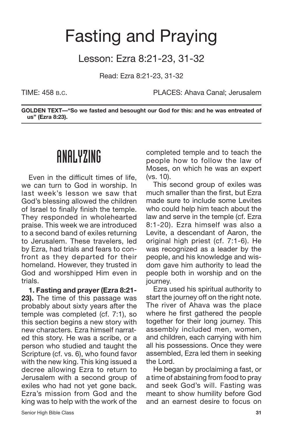### Fasting and Praying

#### Lesson: Ezra 8:21-23, 31-32

Read: Ezra 8:21-23, 31-32

TIME: 458 B.C. PLACES: Ahava Canal; Jerusalem

**GOLDEN TEXT—"So we fasted and besought our God for this: and he was entreated of us" (Ezra 8:23).**

#### ANALYZING

Even in the difficult times of life, we can turn to God in worship. In last week's lesson we saw that God's blessing allowed the children of Israel to finally finish the temple. They responded in wholehearted praise. This week we are introduced to a second band of exiles returning to Jerusalem. These travelers, led by Ezra, had trials and fears to confront as they departed for their homeland. However, they trusted in God and worshipped Him even in trials.

**1. Fasting and prayer (Ezra 8:21- 23).** The time of this passage was probably about sixty years after the temple was completed (cf. 7:1), so this section begins a new story with new characters. Ezra himself narrated this story. He was a scribe, or a person who studied and taught the Scripture (cf. vs. 6), who found favor with the new king. This king issued a decree allowing Ezra to return to Jerusalem with a second group of exiles who had not yet gone back. Ezra's mission from God and the king was to help with the work of the completed temple and to teach the people how to follow the law of Moses, on which he was an expert (vs. 10).

This second group of exiles was much smaller than the first, but Ezra made sure to include some Levites who could help him teach about the law and serve in the temple (cf. Ezra 8:1-20). Ezra himself was also a Levite, a descendant of Aaron, the original high priest (cf. 7:1-6). He was recognized as a leader by the people, and his knowledge and wisdom gave him authority to lead the people both in worship and on the journey.

Ezra used his spiritual authority to start the journey off on the right note. The river of Ahava was the place where he first gathered the people together for their long journey. This assembly included men, women, and children, each carrying with him all his possessions. Once they were assembled, Ezra led them in seeking the Lord.

He began by proclaiming a fast, or a time of abstaining from food to pray and seek God's will. Fasting was meant to show humility before God and an earnest desire to focus on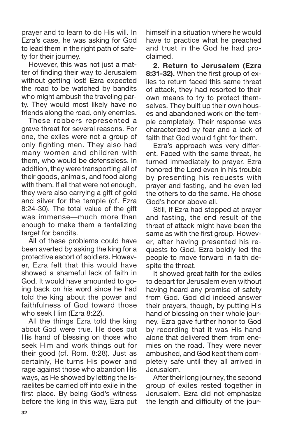prayer and to learn to do His will. In Ezra's case, he was asking for God to lead them in the right path of safety for their journey.

However, this was not just a matter of finding their way to Jerusalem without getting lost! Ezra expected the road to be watched by bandits who might ambush the traveling party. They would most likely have no friends along the road, only enemies.

These robbers represented a grave threat for several reasons. For one, the exiles were not a group of only fighting men. They also had many women and children with them, who would be defenseless. In addition, they were transporting all of their goods, animals, and food along with them. If all that were not enough, they were also carrying a gift of gold and silver for the temple (cf. Ezra 8:24-30). The total value of the gift was immense—much more than enough to make them a tantalizing target for bandits.

All of these problems could have been averted by asking the king for a protective escort of soldiers. However, Ezra felt that this would have showed a shameful lack of faith in God. It would have amounted to going back on his word since he had told the king about the power and faithfulness of God toward those who seek Him (Ezra 8:22).

All the things Ezra told the king about God were true. He does put His hand of blessing on those who seek Him and work things out for their good (cf. Rom. 8:28). Just as certainly, He turns His power and rage against those who abandon His ways, as He showed by letting the Israelites be carried off into exile in the first place. By being God's witness before the king in this way, Ezra put himself in a situation where he would have to practice what he preached and trust in the God he had proclaimed.

**2. Return to Jerusalem (Ezra** 8:31-32). When the first group of exiles to return faced this same threat of attack, they had resorted to their own means to try to protect themselves. They built up their own houses and abandoned work on the temple completely. Their response was characterized by fear and a lack of faith that God would fight for them.

Ezra's approach was very different. Faced with the same threat, he turned immediately to prayer. Ezra honored the Lord even in his trouble by presenting his requests with prayer and fasting, and he even led the others to do the same. He chose God's honor above all.

Still, if Ezra had stopped at prayer and fasting, the end result of the threat of attack might have been the same as with the first group. However, after having presented his requests to God, Ezra boldly led the people to move forward in faith despite the threat.

It showed great faith for the exiles to depart for Jerusalem even without having heard any promise of safety from God. God did indeed answer their prayers, though, by putting His hand of blessing on their whole journey. Ezra gave further honor to God by recording that it was His hand alone that delivered them from enemies on the road. They were never ambushed, and God kept them completely safe until they all arrived in Jerusalem.

After their long journey, the second group of exiles rested together in Jerusalem. Ezra did not emphasize the length and difficulty of the jour-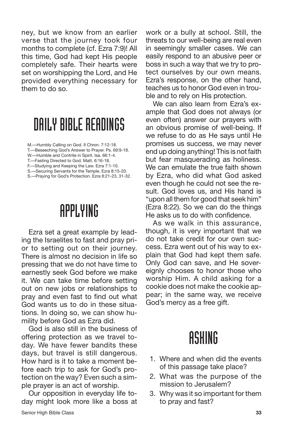ney, but we know from an earlier verse that the journey took four months to complete (cf. Ezra 7:9)! All this time, God had kept His people completely safe. Their hearts were set on worshipping the Lord, and He provided everything necessary for them to do so.

#### DAILY BIBLE READINGS

- M.—Humbly Calling on God. II Chron. 7:12-18.
- T.—Beseeching God's Answer to Prayer. Ps. 69:9-18. W.—Humble and Contrite in Spirit. Isa. 66:1-4.

- F.—Studying and Keeping the Law. Ezra 7:1-10.
- S.—Securing Servants for the Temple. Ezra 8:15-20.
- S.—Praying for God's Protection. Ezra 8:21-23, 31-32.

#### APPLYING

Ezra set a great example by leading the Israelites to fast and pray prior to setting out on their journey. There is almost no decision in life so pressing that we do not have time to earnestly seek God before we make it. We can take time before setting out on new jobs or relationships to pray and even fast to find out what God wants us to do in these situations. In doing so, we can show humility before God as Ezra did.

God is also still in the business of offering protection as we travel today. We have fewer bandits these days, but travel is still dangerous. How hard is it to take a moment before each trip to ask for God's protection on the way? Even such a simple prayer is an act of worship.

Our opposition in everyday life today might look more like a boss at work or a bully at school. Still, the threats to our well-being are real even in seemingly smaller cases. We can easily respond to an abusive peer or boss in such a way that we try to protect ourselves by our own means. Ezra's response, on the other hand, teaches us to honor God even in trouble and to rely on His protection.

We can also learn from Ezra's example that God does not always (or even often) answer our prayers with an obvious promise of well-being. If we refuse to do as He says until He promises us success, we may never end up doing anything! This is not faith but fear masquerading as holiness. We can emulate the true faith shown by Ezra, who did what God asked even though he could not see the result. God loves us, and His hand is "upon all them for good that seek him" (Ezra 8:22). So we can do the things He asks us to do with confidence.

As we walk in this assurance, though, it is very important that we do not take credit for our own success. Ezra went out of his way to explain that God had kept them safe. Only God can save, and He sovereignly chooses to honor those who worship Him. A child asking for a cookie does not make the cookie appear; in the same way, we receive God's mercy as a free gift.

- 1. Where and when did the events of this passage take place?
- 2. What was the purpose of the mission to Jerusalem?
- 3. Why was it so important for them to pray and fast?

T.—Fasting Directed to God. Matt. 6:16-18.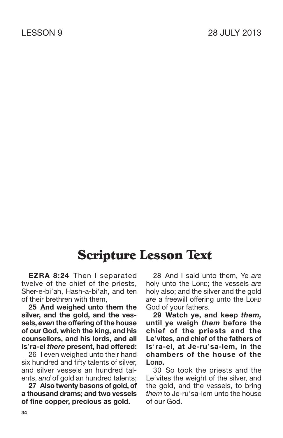**EZRA 8:24** Then I separated twelve of the chief of the priests, Sher-e-bi'ah, Hash-a-bi'ah, and ten of their brethren with them,

**25 And weighed unto them the silver, and the gold, and the vessels,** *even* **the offering of the house of our God, which the king, and his counsellors, and his lords, and all Isra-el** *there* **present, had offered:**

26 I even weighed unto their hand six hundred and fifty talents of silver, and silver vessels an hundred talents, *and* of gold an hundred talents;

**27 Also twenty basons of gold, of a thousand drams; and two vessels of fine copper, precious as gold.**

28 And I said unto them, Ye *are* holy unto the LORD; the vessels *are* holy also; and the silver and the gold *are* a freewill offering unto the LORD God of your fathers.

**29 Watch ye, and keep** *them,* **until ye weigh** *them* **before the chief of the priests and the Levites, and chief of the fathers of Isra-el, at Je-rusa-lem, in the chambers of the house of the LORD.**

30 So took the priests and the Le'vites the weight of the silver, and the gold, and the vessels, to bring *them* to Je-ru'sa-lem unto the house of our God.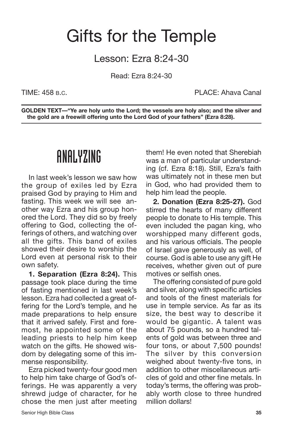### Gifts for the Temple

Lesson: Ezra 8:24-30

Read: Ezra 8:24-30

TIME: 458 B.C. PLACE: Ahava Canal

**GOLDEN TEXT—"Ye are holy unto the Lord; the vessels are holy also; and the silver and the gold are a freewill offering unto the Lord God of your fathers" (Ezra 8:28).**

#### ANALYZING

In last week's lesson we saw how the group of exiles led by Ezra praised God by praying to Him and fasting. This week we will see another way Ezra and his group honored the Lord. They did so by freely offering to God, collecting the offerings of others, and watching over all the gifts. This band of exiles showed their desire to worship the Lord even at personal risk to their own safety.

**1. Separation (Ezra 8:24).** This passage took place during the time of fasting mentioned in last week's lesson. Ezra had collected a great offering for the Lord's temple, and he made preparations to help ensure that it arrived safely. First and foremost, he appointed some of the leading priests to help him keep watch on the gifts. He showed wisdom by delegating some of this immense responsibility.

Ezra picked twenty-four good men to help him take charge of God's offerings. He was apparently a very shrewd judge of character, for he chose the men just after meeting them! He even noted that Sherebiah was a man of particular understanding (cf. Ezra 8:18). Still, Ezra's faith was ultimately not in these men but in God, who had provided them to help him lead the people.

**2. Donation (Ezra 8:25-27).** God stirred the hearts of many different people to donate to His temple. This even included the pagan king, who worshipped many different gods, and his various officials. The people of Israel gave generously as well, of course. God is able to use any gift He receives, whether given out of pure motives or selfish ones.

The offering consisted of pure gold and silver, along with specific articles and tools of the finest materials for use in temple service. As far as its size, the best way to describe it would be gigantic. A talent was about 75 pounds, so a hundred talents of gold was between three and four tons, or about 7,500 pounds! The silver by this conversion weighed about twenty-five tons, in addition to other miscellaneous articles of gold and other fine metals. In today's terms, the offering was probably worth close to three hundred million dollars!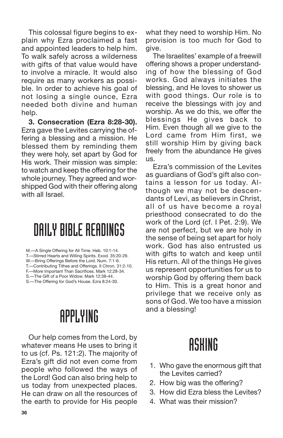This colossal figure begins to explain why Ezra proclaimed a fast and appointed leaders to help him. To walk safely across a wilderness with gifts of that value would have to involve a miracle. It would also require as many workers as possible. In order to achieve his goal of not losing a single ounce, Ezra needed both divine and human help.

**3. Consecration (Ezra 8:28-30).** Ezra gave the Levites carrying the offering a blessing and a mission. He blessed them by reminding them they were holy, set apart by God for His work. Their mission was simple: to watch and keep the offering for the whole journey. They agreed and worshipped God with their offering along with all Israel.

### DAILY BIBLE READINGS

M.—A Single Offering for All Time. Heb. 10:1-14. T.—Stirred Hearts and Willing Spirits. Exod. 35:20-29. W.—Bring Offerings Before the Lord. Num. 7:1-6. T.—Contributing Tithes and Offerings. II Chron. 31:2-10. F.—More Important Than Sacrifices. Mark 12:28-34. S.—The Gift of a Poor Widow. Mark 12:38-44.

S.—The Offering for God's House. Ezra 8:24-30.

## APPLYING

Our help comes from the Lord, by whatever means He uses to bring it to us (cf. Ps. 121:2). The majority of Ezra's gift did not even come from people who followed the ways of the Lord! God can also bring help to us today from unexpected places. He can draw on all the resources of the earth to provide for His people

what they need to worship Him. No provision is too much for God to give.

The Israelites' example of a freewill offering shows a proper understanding of how the blessing of God works. God always initiates the blessing, and He loves to shower us with good things. Our role is to receive the blessings with joy and worship. As we do this, we offer the blessings He gives back to Him. Even though all we give to the Lord came from Him first, we still worship Him by giving back freely from the abundance He gives us.

Ezra's commission of the Levites as guardians of God's gift also contains a lesson for us today. Although we may not be descendants of Levi, as believers in Christ, all of us have become a royal priesthood consecrated to do the work of the Lord (cf. I Pet. 2:9). We are not perfect, but we are holy in the sense of being set apart for holy work. God has also entrusted us with gifts to watch and keep until His return. All of the things He gives us represent opportunities for us to worship God by offering them back to Him. This is a great honor and privilege that we receive only as sons of God. We too have a mission and a blessing!

- 1. Who gave the enormous gift that the Levites carried?
- 2. How big was the offering?
- 3. How did Ezra bless the Levites?
- 4. What was their mission?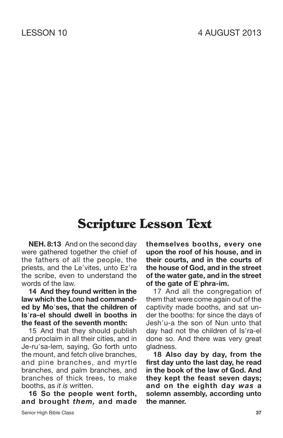**NEH. 8:13** And on the second day were gathered together the chief of the fathers of all the people, the priests, and the Le'vites, unto Ez'ra the scribe, even to understand the words of the law.

**14 And they found written in the law which the LORD had commanded by Moses, that the children of Isra-el should dwell in booths in the feast of the seventh month:**

15 And that they should publish and proclaim in all their cities, and in Je-ru'sa-lem, saying, Go forth unto the mount, and fetch olive branches, and pine branches, and myrtle branches, and palm branches, and branches of thick trees, to make booths, as *it is* written.

**16 So the people went forth, and brought** *them,* **and made** **themselves booths, every one upon the roof of his house, and in their courts, and in the courts of the house of God, and in the street of the water gate, and in the street of the gate of Ephra-im.**

17 And all the congregation of them that were come again out of the captivity made booths, and sat under the booths: for since the days of Jesh'u-a the son of Nun unto that day had not the children of Is'ra-el done so. And there was very great gladness.

**18 Also day by day, from the first day unto the last day, he read in the book of the law of God. And they kept the feast seven days; and on the eighth day** *was* **a solemn assembly, according unto the manner.**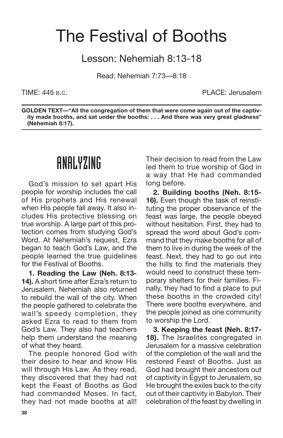## The Festival of Booths

Lesson: Nehemiah 8:13-18

Read: Nehemiah 7:73—8:18

TIME: 445 B.C. PLACE: Jerusalem

**GOLDEN TEXT—"All the congregation of them that were come again out of the captivity made booths, and sat under the booths: . . . And there was very great gladness" (Nehemiah 8:17).**

#### ANALYZING

God's mission to set apart His people for worship includes the call of His prophets and His renewal when His people fall away. It also includes His protective blessing on true worship. A large part of this protection comes from studying God's Word. At Nehemiah's request, Ezra began to teach God's Law, and the people learned the true guidelines for the Festival of Booths.

**1. Reading the Law (Neh. 8:13- 14).** A short time after Ezra's return to Jerusalem, Nehemiah also returned to rebuild the wall of the city. When the people gathered to celebrate the wall's speedy completion, they asked Ezra to read to them from God's Law. They also had teachers help them understand the meaning of what they heard.

The people honored God with their desire to hear and know His will through His Law. As they read, they discovered that they had not kept the Feast of Booths as God had commanded Moses. In fact, they had not made booths at all!

Their decision to read from the Law led them to true worship of God in a way that He had commanded long before.

**2. Building booths (Neh. 8:15- 16).** Even though the task of reinstituting the proper observance of the feast was large, the people obeyed without hesitation. First, they had to spread the word about God's command that they make booths for all of them to live in during the week of the feast. Next, they had to go out into the hills to find the materials they would need to construct these temporary shelters for their families. Finally, they had to find a place to put these booths in the crowded city! There were booths everywhere, and the people joined as one community to worship the Lord.

**3. Keeping the feast (Neh. 8:17- 18).** The Israelites congregated in Jerusalem for a massive celebration of the completion of the wall and the restored Feast of Booths. Just as God had brought their ancestors out of captivity in Egypt to Jerusalem, so He brought the exiles back to the city out of their captivity in Babylon. Their celebration of the feast by dwelling in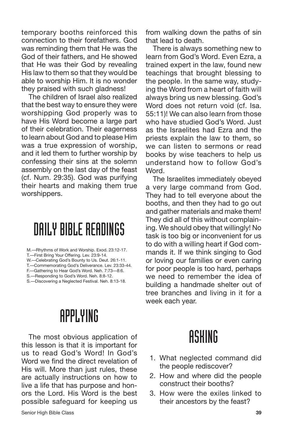temporary booths reinforced this connection to their forefathers. God was reminding them that He was the God of their fathers, and He showed that He was their God by revealing His law to them so that they would be able to worship Him. It is no wonder they praised with such gladness!

The children of Israel also realized that the best way to ensure they were worshipping God properly was to have His Word become a large part of their celebration. Their eagerness to learn about God and to please Him was a true expression of worship, and it led them to further worship by confessing their sins at the solemn assembly on the last day of the feast (cf. Num. 29:35). God was purifying their hearts and making them true worshippers.

#### DAILY BIBLE READINGS

M.—Rhythms of Work and Worship. Exod. 23:12-17.

T.—First Bring Your Offering. Lev. 23:9-14.

- W.—Celebrating God's Bounty to Us. Deut. 26:1-11. T.—Commemorating God's Deliverance. Lev. 23:33-44.
- F.—Gathering to Hear God's Word. Neh. 7:73—8:6.
- S.—Responding to God's Word. Neh. 8:8-12.
- S.—Discovering a Neglected Festival. Neh. 8:13-18.

### APPLYING

The most obvious application of this lesson is that it is important for us to read God's Word! In God's Word we find the direct revelation of His will. More than just rules, these are actually instructions on how to live a life that has purpose and honors the Lord. His Word is the best possible safeguard for keeping us from walking down the paths of sin that lead to death.

There is always something new to learn from God's Word. Even Ezra, a trained expert in the law, found new teachings that brought blessing to the people. In the same way, studying the Word from a heart of faith will always bring us new blessing. God's Word does not return void (cf. Isa. 55:11)! We can also learn from those who have studied God's Word. Just as the Israelites had Ezra and the priests explain the law to them, so we can listen to sermons or read books by wise teachers to help us understand how to follow God's Word.

The Israelites immediately obeyed a very large command from God. They had to tell everyone about the booths, and then they had to go out and gather materials and make them! They did all of this without complaining. We should obey that willingly! No task is too big or inconvenient for us to do with a willing heart if God commands it. If we think singing to God or loving our families or even caring for poor people is too hard, perhaps we need to remember the idea of building a handmade shelter out of tree branches and living in it for a week each year.

- 1. What neglected command did the people rediscover?
- 2. How and where did the people construct their booths?
- 3. How were the exiles linked to their ancestors by the feast?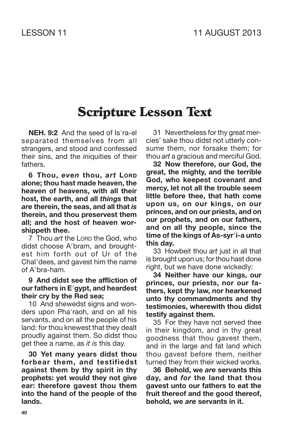**NEH. 9:2** And the seed of Is'ra-el separated themselves from all strangers, and stood and confessed their sins, and the iniquities of their fathers.

**6 Thou,** *even* **thou,** *art* **LORD alone; thou hast made heaven, the heaven of heavens, with all their host, the earth, and all** *things* **that** *are* **therein, the seas, and all that** *is* **therein, and thou preservest them all; and the host of heaven worshippeth thee.**

7 Thou *art* the LORD the God, who didst choose A'bram, and broughtest him forth out of Ur of the Chal'dees, and gavest him the name of A'bra-ham.

#### **9 And didst see the affliction of our fathers in Egypt, and heardest their cry by the Red sea;**

10 And shewedst signs and wonders upon Pha'raoh, and on all his servants, and on all the people of his land: for thou knewest that they dealt proudly against them. So didst thou get thee a name, as *it is* this day.

**30 Yet many years didst thou forbear them, and testifiedst against them by thy spirit in thy prophets: yet would they not give ear: therefore gavest thou them into the hand of the people of the lands.**

31 Nevertheless for thy great mercies' sake thou didst not utterly consume them, nor forsake them; for thou *art* a gracious and merciful God.

**32 Now therefore, our God, the great, the mighty, and the terrible God, who keepest covenant and mercy, let not all the trouble seem little before thee, that hath come upon us, on our kings, on our princes, and on our priests, and on our prophets, and on our fathers, and on all thy people, since the time of the kings of As-syri-a unto this day.**

33 Howbeit thou *art* just in all that is brought upon us; for thou hast done right, but we have done wickedly:

**34 Neither have our kings, our princes, our priests, nor our fathers, kept thy law, nor hearkened unto thy commandments and thy testimonies, wherewith thou didst testify against them.**

35 For they have not served thee in their kingdom, and in thy great goodness that thou gavest them, and in the large and fat land which thou gavest before them, neither turned they from their wicked works.

**36 Behold, we** *are* **servants this day, and** *for* **the land that thou gavest unto our fathers to eat the fruit thereof and the good thereof, behold, we** *are* **servants in it.**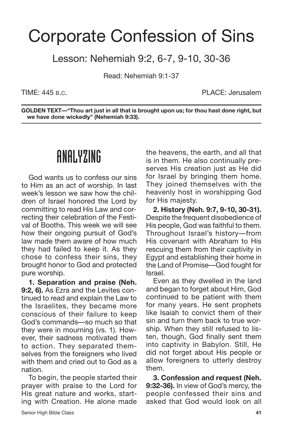## Corporate Confession of Sins

Lesson: Nehemiah 9:2, 6-7, 9-10, 30-36

Read: Nehemiah 9:1-37

TIME: 445 B.C. PLACE: Jerusalem

**GOLDEN TEXT—"Thou art just in all that is brought upon us; for thou hast done right, but we have done wickedly" (Nehemiah 9:33).**

#### ANALYZING

God wants us to confess our sins to Him as an act of worship. In last week's lesson we saw how the children of Israel honored the Lord by committing to read His Law and correcting their celebration of the Festival of Booths. This week we will see how their ongoing pursuit of God's law made them aware of how much they had failed to keep it. As they chose to confess their sins, they brought honor to God and protected pure worship.

**1. Separation and praise (Neh. 9:2, 6).** As Ezra and the Levites continued to read and explain the Law to the Israelites, they became more conscious of their failure to keep God's commands—so much so that they were in mourning (vs. 1). However, their sadness motivated them to action. They separated themselves from the foreigners who lived with them and cried out to God as a nation.

To begin, the people started their prayer with praise to the Lord for His great nature and works, starting with Creation. He alone made the heavens, the earth, and all that is in them. He also continually preserves His creation just as He did for Israel by bringing them home. They joined themselves with the heavenly host in worshipping God for His majesty.

**2. History (Neh. 9:7, 9-10, 30-31).** Despite the frequent disobedience of His people, God was faithful to them. Throughout Israel's history—from His covenant with Abraham to His rescuing them from their captivity in Egypt and establishing their home in the Land of Promise—God fought for Israel.

Even as they dwelled in the land and began to forget about Him, God continued to be patient with them for many years. He sent prophets like Isaiah to convict them of their sin and turn them back to true worship. When they still refused to listen, though, God finally sent them into captivity in Babylon. Still, He did not forget about His people or allow foreigners to utterly destroy them.

**3. Confession and request (Neh. 9:32-36).** In view of God's mercy, the people confessed their sins and asked that God would look on all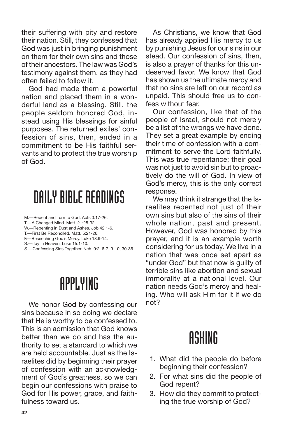their suffering with pity and restore their nation. Still, they confessed that God was just in bringing punishment on them for their own sins and those of their ancestors. The law was God's testimony against them, as they had often failed to follow it.

God had made them a powerful nation and placed them in a wonderful land as a blessing. Still, the people seldom honored God, instead using His blessings for sinful purposes. The returned exiles' confession of sins, then, ended in a commitment to be His faithful servants and to protect the true worship of God.

#### DAILY BIBLE READINGS

- M.—Repent and Turn to God. Acts 3:17-26.
- T.—A Changed Mind. Matt. 21:28-32.
- W.—Repenting in Dust and Ashes. Job 42:1-6.
- T.—First Be Reconciled. Matt. 5:21-26.
- F.—Beseeching God's Mercy. Luke 18:9-14.
- S.—Joy in Heaven. Luke 15:1-10.
- S.—Confessing Sins Together. Neh. 9:2, 6-7, 9-10, 30-36.

### APPLYING

We honor God by confessing our sins because in so doing we declare that He is worthy to be confessed to. This is an admission that God knows better than we do and has the authority to set a standard to which we are held accountable. Just as the Israelites did by beginning their prayer of confession with an acknowledgment of God's greatness, so we can begin our confessions with praise to God for His power, grace, and faithfulness toward us.

As Christians, we know that God has already applied His mercy to us by punishing Jesus for our sins in our stead. Our confession of sins, then, is also a prayer of thanks for this undeserved favor. We know that God has shown us the ultimate mercy and that no sins are left on our record as unpaid. This should free us to confess without fear.

Our confession, like that of the people of Israel, should not merely be a list of the wrongs we have done. They set a great example by ending their time of confession with a commitment to serve the Lord faithfully. This was true repentance; their goal was not just to avoid sin but to proactively do the will of God. In view of God's mercy, this is the only correct response.

We may think it strange that the Israelites repented not just of their own sins but also of the sins of their whole nation, past and present. However, God was honored by this prayer, and it is an example worth considering for us today. We live in a nation that was once set apart as "under God" but that now is guilty of terrible sins like abortion and sexual immorality at a national level. Our nation needs God's mercy and healing. Who will ask Him for it if we do not?

- 1. What did the people do before beginning their confession?
- 2. For what sins did the people of God repent?
- 3. How did they commit to protecting the true worship of God?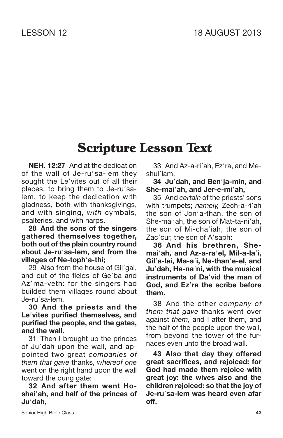**NEH. 12:27** And at the dedication of the wall of Je-ru'sa-lem they sought the Le'vites out of all their places, to bring them to Je-ru'salem, to keep the dedication with gladness, both with thanksgivings, and with singing, *with* cymbals, psalteries, and with harps.

**28 And the sons of the singers gathered themselves together, both out of the plain country round about Je-rusa-lem, and from the villages of Ne-topha-thi;**

29 Also from the house of Gil'gal, and out of the fields of Ge'ba and Az'ma-veth: for the singers had builded them villages round about Je-ru'sa-lem.

**30 And the priests and the Levites purified themselves, and purified the people, and the gates, and the wall.**

31 Then I brought up the princes of Ju'dah upon the wall, and appointed two great *companies of them that gave* thanks, *whereof one* went on the right hand upon the wall toward the dung gate:

**32 And after them went Hoshaiah, and half of the princes of Judah,**

33 And Az-a-ri'ah, Ez'ra, and Meshul'lam,

**34 Judah, and Benja-min, and She-maiah, and Jer-e-miah,**

35 And *certain* of the priests' sons with trumpets; *namely*, Zech-a-ri'ah the son of Jon'a-than, the son of She-mai'ah, the son of Mat-ta-ni'ah, the son of Mi-cha'iah, the son of Zac'cur, the son of A'saph:

**36 And his brethren, Shemaiah, and Az-a-rael, Mil-a-lai, Gila-lai, Ma-ai, Ne-thane-el, and Judah, Ha-nani, with the musical instruments of David the man of God, and Ezra the scribe before them.**

38 And the other *company of them that gave* thanks went over against *them,* and I after them, and the half of the people upon the wall, from beyond the tower of the furnaces even unto the broad wall.

**43 Also that day they offered great sacrifices, and rejoiced: for God had made them rejoice with great joy: the wives also and the children rejoiced: so that the joy of Je-rusa-lem was heard even afar off.**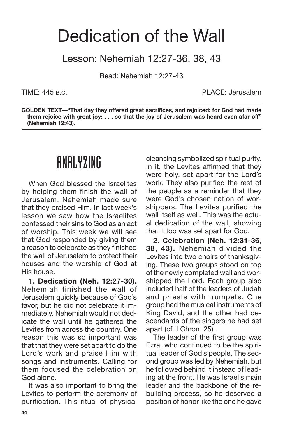### Dedication of the Wall

Lesson: Nehemiah 12:27-36, 38, 43

Read: Nehemiah 12:27-43

TIME: 445 B.C. PLACE: Jerusalem

**GOLDEN TEXT—"That day they offered great sacrifices, and rejoiced: for God had made them rejoice with great joy: . . . so that the joy of Jerusalem was heard even afar off" (Nehemiah 12:43).**

#### ANALYZING

When God blessed the Israelites by helping them finish the wall of Jerusalem, Nehemiah made sure that they praised Him. In last week's lesson we saw how the Israelites confessed their sins to God as an act of worship. This week we will see that God responded by giving them a reason to celebrate as they finished the wall of Jerusalem to protect their houses and the worship of God at His house.

**1. Dedication (Neh. 12:27-30).** Nehemiah finished the wall of Jerusalem quickly because of God's favor, but he did not celebrate it immediately. Nehemiah would not dedicate the wall until he gathered the Levites from across the country. One reason this was so important was that that they were set apart to do the Lord's work and praise Him with songs and instruments. Calling for them focused the celebration on God alone.

It was also important to bring the Levites to perform the ceremony of purification. This ritual of physical cleansing symbolized spiritual purity. In it, the Levites affirmed that they were holy, set apart for the Lord's work. They also purified the rest of the people as a reminder that they were God's chosen nation of worshippers. The Levites purified the wall itself as well. This was the actual dedication of the wall, showing that it too was set apart for God.

**2. Celebration (Neh. 12:31-36, 38, 43).** Nehemiah divided the Levites into two choirs of thanksgiving. These two groups stood on top of the newly completed wall and worshipped the Lord. Each group also included half of the leaders of Judah and priests with trumpets. One group had the musical instruments of King David, and the other had descendants of the singers he had set apart (cf. I Chron. 25).

The leader of the first group was Ezra, who continued to be the spiritual leader of God's people. The second group was led by Nehemiah, but he followed behind it instead of leading at the front. He was Israel's main leader and the backbone of the rebuilding process, so he deserved a position of honor like the one he gave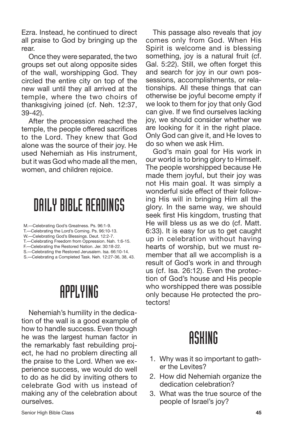Ezra. Instead, he continued to direct all praise to God by bringing up the rear.

Once they were separated, the two groups set out along opposite sides of the wall, worshipping God. They circled the entire city on top of the new wall until they all arrived at the temple, where the two choirs of thanksgiving joined (cf. Neh. 12:37, 39-42).

After the procession reached the temple, the people offered sacrifices to the Lord. They knew that God alone was the source of their joy. He used Nehemiah as His instrument, but it was God who made all the men, women, and children rejoice.

#### DAILY BIBLE READINGS

- M.—Celebrating God's Greatness. Ps. 96:1-9.
- T.—Celebrating the Lord's Coming. Ps. 96:10-13.
- W.—Celebrating God's Blessings. Deut. 12:2-7. T.—Celebrating Freedom from Oppression. Nah. 1:6-15.
- F.—Celebrating the Restored Nation. Jer. 30:18-22.
- S.—Celebrating the Restored Jerusalem. Isa. 66:10-14.
- S.—Celebrating a Completed Task. Neh. 12:27-36, 38, 43.

## APPLYING

Nehemiah's humility in the dedication of the wall is a good example of how to handle success. Even though he was the largest human factor in the remarkably fast rebuilding project, he had no problem directing all the praise to the Lord. When we experience success, we would do well to do as he did by inviting others to celebrate God with us instead of making any of the celebration about ourselves.

This passage also reveals that joy comes only from God. When His Spirit is welcome and is blessing something, joy is a natural fruit (cf. Gal. 5:22). Still, we often forget this and search for joy in our own possessions, accomplishments, or relationships. All these things that can otherwise be joyful become empty if we look to them for joy that only God can give. If we find ourselves lacking joy, we should consider whether we are looking for it in the right place. Only God can give it, and He loves to do so when we ask Him.

God's main goal for His work in our world is to bring glory to Himself. The people worshipped because He made them joyful, but their joy was not His main goal. It was simply a wonderful side effect of their following His will in bringing Him all the glory. In the same way, we should seek first His kingdom, trusting that He will bless us as we do (cf. Matt. 6:33). It is easy for us to get caught up in celebration without having hearts of worship, but we must remember that all we accomplish is a result of God's work in and through us (cf. Isa. 26:12). Even the protection of God's house and His people who worshipped there was possible only because He protected the protectors!

- 1. Why was it so important to gather the Levites?
- 2. How did Nehemiah organize the dedication celebration?
- 3. What was the true source of the people of Israel's joy?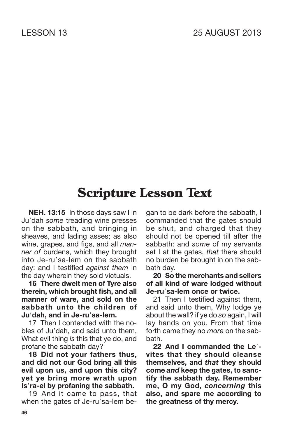**NEH. 13:15** In those days saw I in Ju'dah some treading wine presses on the sabbath, and bringing in sheaves, and lading asses; as also wine, grapes, and figs, and all *manner of* burdens, which they brought into Je-ru'sa-lem on the sabbath day: and I testified *against them* in the day wherein they sold victuals.

**16 There dwelt men of Tyre also therein, which brought fish, and all manner of ware, and sold on the sabbath unto the children of Judah, and in Je-rusa-lem.**

17 Then I contended with the nobles of Ju'dah, and said unto them. What evil thing *is* this that ye do, and profane the sabbath day?

**18 Did not your fathers thus, and did not our God bring all this evil upon us, and upon this city? yet ye bring more wrath upon Isra-el by profaning the sabbath.**

19 And it came to pass, that when the gates of Je-ru'sa-lem began to be dark before the sabbath, I commanded that the gates should be shut, and charged that they should not be opened till after the sabbath: and *some* of my servants set I at the gates, *that* there should no burden be brought in on the sabbath day.

**20 So the merchants and sellers of all kind of ware lodged without Je-rusa-lem once or twice.**

21 Then I testified against them, and said unto them, Why lodge ye about the wall? if ye do *so* again, I will lay hands on you. From that time forth came they no *more* on the sabbath.

**22 And I commanded the Le vites that they should cleanse themselves, and** *that* **they should come** *and* **keep the gates, to sanctify the sabbath day. Remember me, O my God,** *concerning* **this also, and spare me according to the greatness of thy mercy.**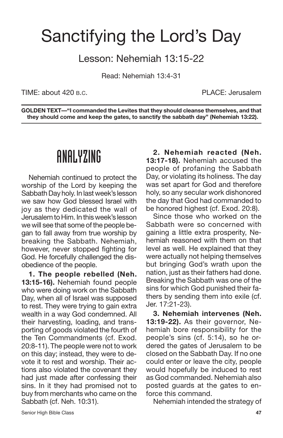## Sanctifying the Lord's Day

#### Lesson: Nehemiah 13:15-22

Read: Nehemiah 13:4-31

TIME: about 420 B.C. PLACE: Jerusalem

**GOLDEN TEXT—"I commanded the Levites that they should cleanse themselves, and that they should come and keep the gates, to sanctify the sabbath day" (Nehemiah 13:22).**

#### ANALYZING

Nehemiah continued to protect the worship of the Lord by keeping the Sabbath Day holy. In last week's lesson we saw how God blessed Israel with joy as they dedicated the wall of Jerusalem to Him. In this week's lesson we will see that some of the people began to fall away from true worship by breaking the Sabbath. Nehemiah, however, never stopped fighting for God. He forcefully challenged the disobedience of the people.

**1. The people rebelled (Neh. 13:15-16).** Nehemiah found people who were doing work on the Sabbath Day, when all of Israel was supposed to rest. They were trying to gain extra wealth in a way God condemned. All their harvesting, loading, and transporting of goods violated the fourth of the Ten Commandments (cf. Exod. 20:8-11). The people were not to work on this day; instead, they were to devote it to rest and worship. Their actions also violated the covenant they had just made after confessing their sins. In it they had promised not to buy from merchants who came on the Sabbath (cf. Neh. 10:31).

**2. Nehemiah reacted (Neh. 13:17-18).** Nehemiah accused the people of profaning the Sabbath Day, or violating its holiness. The day was set apart for God and therefore holy, so any secular work dishonored the day that God had commanded to be honored highest (cf. Exod. 20:8).

Since those who worked on the Sabbath were so concerned with gaining a little extra prosperity, Nehemiah reasoned with them on that level as well. He explained that they were actually not helping themselves but bringing God's wrath upon the nation, just as their fathers had done. Breaking the Sabbath was one of the sins for which God punished their fathers by sending them into exile (cf. Jer. 17:21-23).

**3. Nehemiah intervenes (Neh. 13:19-22).** As their governor, Nehemiah bore responsibility for the people's sins (cf. 5:14), so he ordered the gates of Jerusalem to be closed on the Sabbath Day. If no one could enter or leave the city, people would hopefully be induced to rest as God commanded. Nehemiah also posted guards at the gates to enforce this command.

Nehemiah intended the strategy of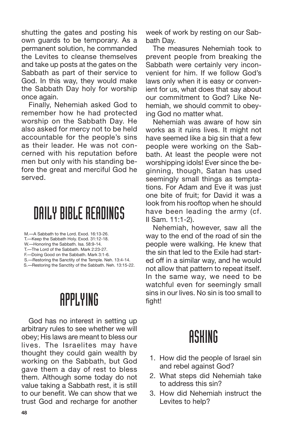shutting the gates and posting his own guards to be temporary. As a permanent solution, he commanded the Levites to cleanse themselves and take up posts at the gates on the Sabbath as part of their service to God. In this way, they would make the Sabbath Day holy for worship once again.

Finally, Nehemiah asked God to remember how he had protected worship on the Sabbath Day. He also asked for mercy not to be held accountable for the people's sins as their leader. He was not concerned with his reputation before men but only with his standing before the great and merciful God he served.

#### DAILY BIBLE READINGS

- M.—A Sabbath to the Lord. Exod. 16:13-26.
- T.—Keep the Sabbath Holy. Exod. 31:12-18.
- W.—Honoring the Sabbath. Isa. 58:9-14.
- T.—The Lord of the Sabbath. Mark 2:23-27.
- F.—Doing Good on the Sabbath. Mark 3:1-6.
- S.—Restoring the Sanctity of the Temple. Neh. 13:4-14.
- S.—Restoring the Sanctity of the Sabbath. Neh. 13:15-22.

#### APPLYING

God has no interest in setting up arbitrary rules to see whether we will obey; His laws are meant to bless our lives. The Israelites may have thought they could gain wealth by working on the Sabbath, but God gave them a day of rest to bless them. Although some today do not value taking a Sabbath rest, it is still to our benefit. We can show that we trust God and recharge for another week of work by resting on our Sabbath Day.

The measures Nehemiah took to prevent people from breaking the Sabbath were certainly very inconvenient for him. If we follow God's laws only when it is easy or convenient for us, what does that say about our commitment to God? Like Nehemiah, we should commit to obeying God no matter what.

Nehemiah was aware of how sin works as it ruins lives. It might not have seemed like a big sin that a few people were working on the Sabbath. At least the people were not worshipping idols! Ever since the beginning, though, Satan has used seemingly small things as temptations. For Adam and Eve it was just one bite of fruit; for David it was a look from his rooftop when he should have been leading the army (cf. II Sam. 11:1-2).

Nehemiah, however, saw all the way to the end of the road of sin the people were walking. He knew that the sin that led to the Exile had started off in a similar way, and he would not allow that pattern to repeat itself. In the same way, we need to be watchful even for seemingly small sins in our lives. No sin is too small to fight!

- 1. How did the people of Israel sin and rebel against God?
- 2. What steps did Nehemiah take to address this sin?
- 3. How did Nehemiah instruct the Levites to help?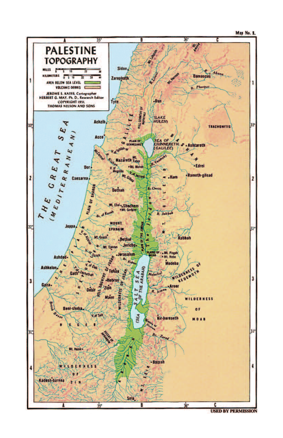



**USED BY PERMISSION**